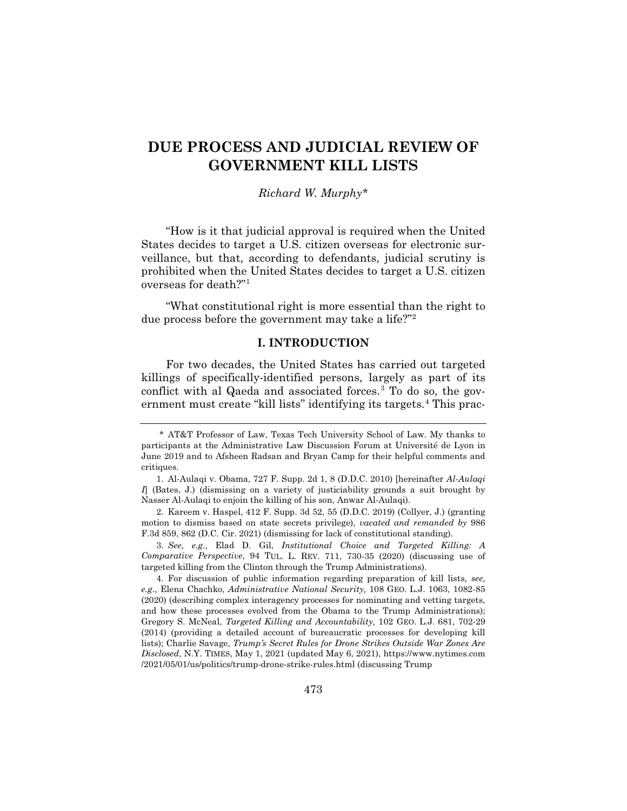# **DUE PROCESS AND JUDICIAL REVIEW OF GOVERNMENT KILL LISTS**

# *Richard W. Murphy\**

"How is it that judicial approval is required when the United States decides to target a U.S. citizen overseas for electronic surveillance, but that, according to defendants, judicial scrutiny is prohibited when the United States decides to target a U.S. citizen overseas for death?"1

"What constitutional right is more essential than the right to due process before the government may take a life?"2

## **I. INTRODUCTION**

For two decades, the United States has carried out targeted killings of specifically-identified persons, largely as part of its conflict with al Qaeda and associated forces.<sup>3</sup> To do so, the government must create "kill lists" identifying its targets.<sup>4</sup> This prac-

2. Kareem v. Haspel, 412 F. Supp. 3d 52, 55 (D.D.C. 2019) (Collyer, J.) (granting motion to dismiss based on state secrets privilege), *vacated and remanded by* 986 F.3d 859, 862 (D.C. Cir. 2021) (dismissing for lack of constitutional standing).

3. *See, e.g.*, Elad D. Gil, *Institutional Choice and Targeted Killing: A Comparative Perspective*, 94 TUL. L. REV. 711, 730-35 (2020) (discussing use of targeted killing from the Clinton through the Trump Administrations).

4. For discussion of public information regarding preparation of kill lists*, see, e.g*., Elena Chachko, *Administrative National Security,* 108 GEO. L.J. 1063, 1082-85 (2020) (describing complex interagency processes for nominating and vetting targets, and how these processes evolved from the Obama to the Trump Administrations); Gregory S. McNeal, *Targeted Killing and Accountability,* 102 GEO. L.J. 681, 702-29 (2014) (providing a detailed account of bureaucratic processes for developing kill lists); Charlie Savage, *Trump's Secret Rules for Drone Strikes Outside War Zones Are Disclosed*, N.Y. TIMES, May 1, 2021 (updated May 6, 2021), https://www.nytimes.com /2021/05/01/us/politics/trump-drone-strike-rules.html (discussing Trump

<sup>\*</sup> AT&T Professor of Law, Texas Tech University School of Law. My thanks to participants at the Administrative Law Discussion Forum at Université de Lyon in June 2019 and to Afsheen Radsan and Bryan Camp for their helpful comments and critiques.

<sup>1.</sup> Al-Aulaqi v. Obama, 727 F. Supp. 2d 1, 8 (D.D.C. 2010) [hereinafter *Al-Aulaqi I*] (Bates, J.) (dismissing on a variety of justiciability grounds a suit brought by Nasser Al-Aulaqi to enjoin the killing of his son, Anwar Al-Aulaqi).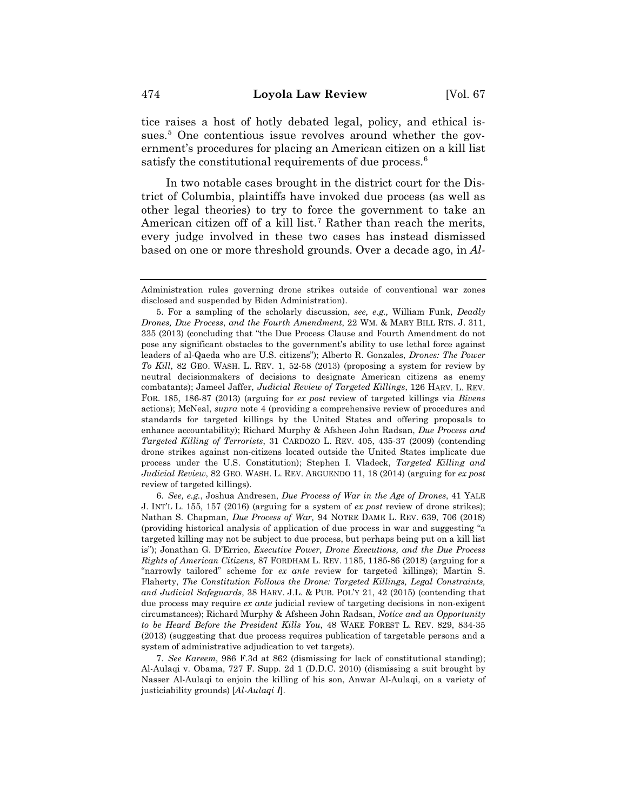tice raises a host of hotly debated legal, policy, and ethical issues.<sup>5</sup> One contentious issue revolves around whether the government's procedures for placing an American citizen on a kill list satisfy the constitutional requirements of due process.<sup>6</sup>

In two notable cases brought in the district court for the District of Columbia, plaintiffs have invoked due process (as well as other legal theories) to try to force the government to take an American citizen off of a kill list.<sup>7</sup> Rather than reach the merits, every judge involved in these two cases has instead dismissed based on one or more threshold grounds. Over a decade ago, in *Al-*

6. *See, e.g.*, Joshua Andresen, *Due Process of War in the Age of Drones*, 41 YALE J. INT'L L. 155, 157 (2016) (arguing for a system of *ex post* review of drone strikes); Nathan S. Chapman, *Due Process of War,* 94 NOTRE DAME L. REV. 639, 706 (2018) (providing historical analysis of application of due process in war and suggesting "a targeted killing may not be subject to due process, but perhaps being put on a kill list is"); Jonathan G. D'Errico, *Executive Power, Drone Executions, and the Due Process Rights of American Citizens,* 87 FORDHAM L. REV. 1185, 1185-86 (2018) (arguing for a "narrowly tailored" scheme for *ex ante* review for targeted killings); Martin S. Flaherty, *The Constitution Follows the Drone: Targeted Killings, Legal Constraints, and Judicial Safeguards*, 38 HARV. J.L. & PUB. POL'Y 21, 42 (2015) (contending that due process may require *ex ante* judicial review of targeting decisions in non-exigent circumstances); Richard Murphy & Afsheen John Radsan, *Notice and an Opportunity to be Heard Before the President Kills You*, 48 WAKE FOREST L. REV. 829, 834-35 (2013) (suggesting that due process requires publication of targetable persons and a system of administrative adjudication to vet targets).

7. *See Kareem*, 986 F.3d at 862 (dismissing for lack of constitutional standing); Al-Aulaqi v. Obama, 727 F. Supp. 2d 1 (D.D.C. 2010) (dismissing a suit brought by Nasser Al-Aulaqi to enjoin the killing of his son, Anwar Al-Aulaqi, on a variety of justiciability grounds) [*Al-Aulaqi I*].

Administration rules governing drone strikes outside of conventional war zones disclosed and suspended by Biden Administration).

<sup>5.</sup> For a sampling of the scholarly discussion, *see, e.g.,* William Funk, *Deadly Drones, Due Process, and the Fourth Amendment, 22 WM. & MARY BILL RTS. J.* 311, 335 (2013) (concluding that "the Due Process Clause and Fourth Amendment do not pose any significant obstacles to the government's ability to use lethal force against leaders of al-Qaeda who are U.S. citizens"); Alberto R. Gonzales, *Drones: The Power To Kill*, 82 GEO. WASH. L. REV. 1, 52-58 (2013) (proposing a system for review by neutral decisionmakers of decisions to designate American citizens as enemy combatants); Jameel Jaffer, *Judicial Review of Targeted Killings*, 126 HARV. L. REV. FOR. 185, 186-87 (2013) (arguing for *ex post* review of targeted killings via *Bivens*  actions); McNeal, *supra* note 4 (providing a comprehensive review of procedures and standards for targeted killings by the United States and offering proposals to enhance accountability); Richard Murphy & Afsheen John Radsan, *Due Process and Targeted Killing of Terrorists*, 31 CARDOZO L. REV. 405, 435-37 (2009) (contending drone strikes against non-citizens located outside the United States implicate due process under the U.S. Constitution); Stephen I. Vladeck, *Targeted Killing and Judicial Review*, 82 GEO. WASH. L. REV. ARGUENDO 11, 18 (2014) (arguing for *ex post* review of targeted killings).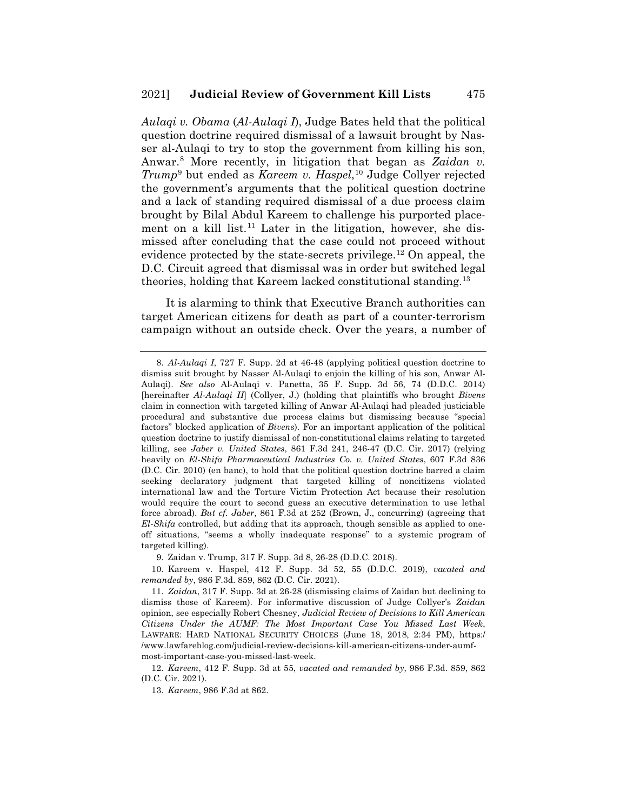*Aulaqi v. Obama* (*Al-Aulaqi I*), Judge Bates held that the political question doctrine required dismissal of a lawsuit brought by Nasser al-Aulaqi to try to stop the government from killing his son, Anwar.8 More recently, in litigation that began as *Zaidan v. Trump*<sup>9</sup> but ended as *Kareem v. Haspel*, <sup>10</sup> Judge Collyer rejected the government's arguments that the political question doctrine and a lack of standing required dismissal of a due process claim brought by Bilal Abdul Kareem to challenge his purported placement on a kill list.<sup>11</sup> Later in the litigation, however, she dismissed after concluding that the case could not proceed without evidence protected by the state-secrets privilege.<sup>12</sup> On appeal, the D.C. Circuit agreed that dismissal was in order but switched legal theories, holding that Kareem lacked constitutional standing.<sup>13</sup>

It is alarming to think that Executive Branch authorities can target American citizens for death as part of a counter-terrorism campaign without an outside check. Over the years, a number of

9. Zaidan v. Trump, 317 F. Supp. 3d 8, 26-28 (D.D.C. 2018).

13. *Kareem*, 986 F.3d at 862.

<sup>8.</sup> *Al-Aulaqi I*, 727 F. Supp. 2d at 46-48 (applying political question doctrine to dismiss suit brought by Nasser Al-Aulaqi to enjoin the killing of his son, Anwar Al-Aulaqi). *See also* Al-Aulaqi v. Panetta, 35 F. Supp. 3d 56, 74 (D.D.C. 2014) [hereinafter *Al-Aulaqi II*] (Collyer, J.) (holding that plaintiffs who brought *Bivens*  claim in connection with targeted killing of Anwar Al-Aulaqi had pleaded justiciable procedural and substantive due process claims but dismissing because "special factors" blocked application of *Bivens*). For an important application of the political question doctrine to justify dismissal of non-constitutional claims relating to targeted killing, see *Jaber v. United States*, 861 F.3d 241, 246-47 (D.C. Cir. 2017) (relying heavily on *El-Shifa Pharmaceutical Industries Co. v. United States*, 607 F.3d 836 (D.C. Cir. 2010) (en banc), to hold that the political question doctrine barred a claim seeking declaratory judgment that targeted killing of noncitizens violated international law and the Torture Victim Protection Act because their resolution would require the court to second guess an executive determination to use lethal force abroad). *But cf. Jaber*, 861 F.3d at 252 (Brown, J., concurring) (agreeing that *El-Shifa* controlled, but adding that its approach, though sensible as applied to oneoff situations, "seems a wholly inadequate response" to a systemic program of targeted killing).

<sup>10.</sup> Kareem v. Haspel, 412 F. Supp. 3d 52, 55 (D.D.C. 2019), *vacated and remanded by*, 986 F.3d. 859, 862 (D.C. Cir. 2021).

<sup>11.</sup> *Zaidan*, 317 F. Supp. 3d at 26-28 (dismissing claims of Zaidan but declining to dismiss those of Kareem). For informative discussion of Judge Collyer's *Zaidan*  opinion, see especially Robert Chesney, *Judicial Review of Decisions to Kill American Citizens Under the AUMF: The Most Important Case You Missed Last Week*, LAWFARE: HARD NATIONAL SECURITY CHOICES (June 18, 2018, 2:34 PM), https:/ /www.lawfareblog.com/judicial-review-decisions-kill-american-citizens-under-aumfmost-important-case-you-missed-last-week.

<sup>12.</sup> *Kareem*, 412 F. Supp. 3d at 55, *vacated and remanded by*, 986 F.3d. 859, 862 (D.C. Cir. 2021).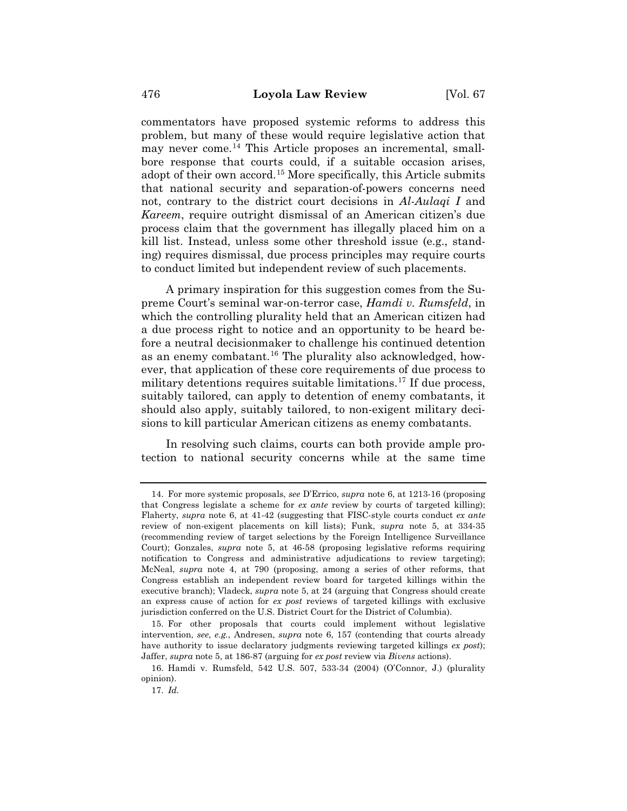commentators have proposed systemic reforms to address this problem, but many of these would require legislative action that may never come.14 This Article proposes an incremental, smallbore response that courts could, if a suitable occasion arises, adopt of their own accord.<sup>15</sup> More specifically, this Article submits that national security and separation-of-powers concerns need not, contrary to the district court decisions in *Al-Aulaqi I* and *Kareem*, require outright dismissal of an American citizen's due process claim that the government has illegally placed him on a kill list. Instead, unless some other threshold issue (e.g., standing) requires dismissal, due process principles may require courts to conduct limited but independent review of such placements.

A primary inspiration for this suggestion comes from the Supreme Court's seminal war-on-terror case, *Hamdi v. Rumsfeld*, in which the controlling plurality held that an American citizen had a due process right to notice and an opportunity to be heard before a neutral decisionmaker to challenge his continued detention as an enemy combatant.<sup>16</sup> The plurality also acknowledged, however, that application of these core requirements of due process to military detentions requires suitable limitations.<sup>17</sup> If due process, suitably tailored, can apply to detention of enemy combatants, it should also apply, suitably tailored, to non-exigent military decisions to kill particular American citizens as enemy combatants.

In resolving such claims, courts can both provide ample protection to national security concerns while at the same time

<sup>14.</sup> For more systemic proposals, *see* D'Errico, *supra* note 6, at 1213-16 (proposing that Congress legislate a scheme for *ex ante* review by courts of targeted killing); Flaherty, *supra* note 6, at 41-42 (suggesting that FISC-style courts conduct *ex ante* review of non-exigent placements on kill lists); Funk, *supra* note 5, at 334-35 (recommending review of target selections by the Foreign Intelligence Surveillance Court); Gonzales, *supra* note 5, at 46-58 (proposing legislative reforms requiring notification to Congress and administrative adjudications to review targeting); McNeal, *supra* note 4, at 790 (proposing, among a series of other reforms, that Congress establish an independent review board for targeted killings within the executive branch); Vladeck, *supra* note 5, at 24 (arguing that Congress should create an express cause of action for *ex post* reviews of targeted killings with exclusive jurisdiction conferred on the U.S. District Court for the District of Columbia).

<sup>15.</sup> For other proposals that courts could implement without legislative intervention, *see*, *e.g.*, Andresen, *supra* note 6, 157 (contending that courts already have authority to issue declaratory judgments reviewing targeted killings *ex post*); Jaffer, *supra* note 5, at 186-87 (arguing for *ex post* review via *Bivens* actions).

<sup>16.</sup> Hamdi v. Rumsfeld, 542 U.S. 507, 533-34 (2004) (O'Connor, J.) (plurality opinion).

<sup>17.</sup> *Id.*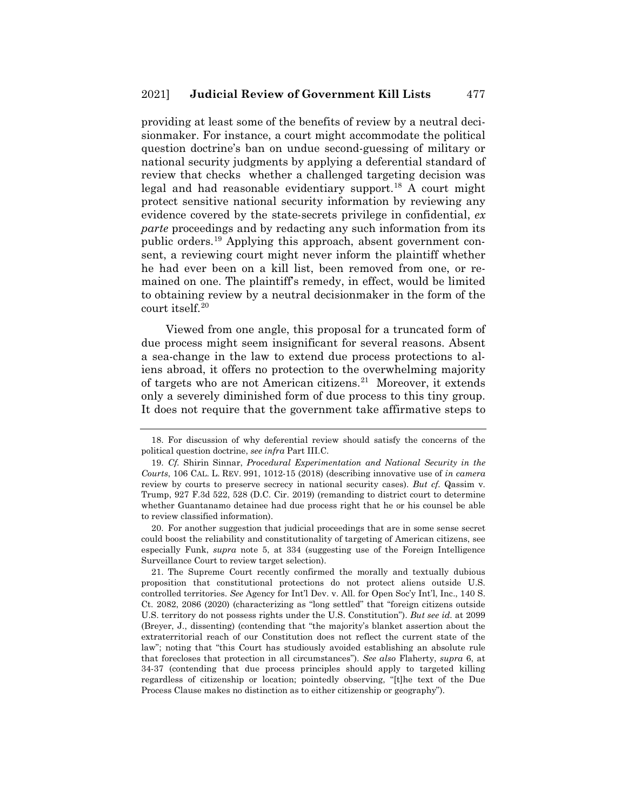providing at least some of the benefits of review by a neutral decisionmaker. For instance, a court might accommodate the political question doctrine's ban on undue second-guessing of military or national security judgments by applying a deferential standard of review that checks whether a challenged targeting decision was legal and had reasonable evidentiary support.<sup>18</sup> A court might protect sensitive national security information by reviewing any evidence covered by the state-secrets privilege in confidential, *ex parte* proceedings and by redacting any such information from its public orders.19 Applying this approach, absent government consent, a reviewing court might never inform the plaintiff whether he had ever been on a kill list, been removed from one, or remained on one. The plaintiff's remedy, in effect, would be limited to obtaining review by a neutral decisionmaker in the form of the court itself.20

Viewed from one angle, this proposal for a truncated form of due process might seem insignificant for several reasons. Absent a sea-change in the law to extend due process protections to aliens abroad, it offers no protection to the overwhelming majority of targets who are not American citizens.<sup>21</sup> Moreover, it extends only a severely diminished form of due process to this tiny group. It does not require that the government take affirmative steps to

20. For another suggestion that judicial proceedings that are in some sense secret could boost the reliability and constitutionality of targeting of American citizens, see especially Funk, *supra* note 5, at 334 (suggesting use of the Foreign Intelligence Surveillance Court to review target selection).

21. The Supreme Court recently confirmed the morally and textually dubious proposition that constitutional protections do not protect aliens outside U.S. controlled territories. *See* Agency for Int'l Dev. v. All. for Open Soc'y Int'l, Inc., 140 S. Ct. 2082, 2086 (2020) (characterizing as "long settled" that "foreign citizens outside U.S. territory do not possess rights under the U.S. Constitution"). *But see id.* at 2099 (Breyer, J., dissenting) (contending that "the majority's blanket assertion about the extraterritorial reach of our Constitution does not reflect the current state of the law"; noting that "this Court has studiously avoided establishing an absolute rule that forecloses that protection in all circumstances"). *See also* Flaherty, *supra* 6, at 34-37 (contending that due process principles should apply to targeted killing regardless of citizenship or location; pointedly observing, "[t]he text of the Due Process Clause makes no distinction as to either citizenship or geography").

<sup>18.</sup> For discussion of why deferential review should satisfy the concerns of the political question doctrine, *see infra* Part III.C.

<sup>19.</sup> *Cf.* Shirin Sinnar, *Procedural Experimentation and National Security in the Courts*, 106 CAL. L. REV. 991, 1012-15 (2018) (describing innovative use of *in camera*  review by courts to preserve secrecy in national security cases). *But cf.* Qassim v. Trump, 927 F.3d 522, 528 (D.C. Cir. 2019) (remanding to district court to determine whether Guantanamo detainee had due process right that he or his counsel be able to review classified information).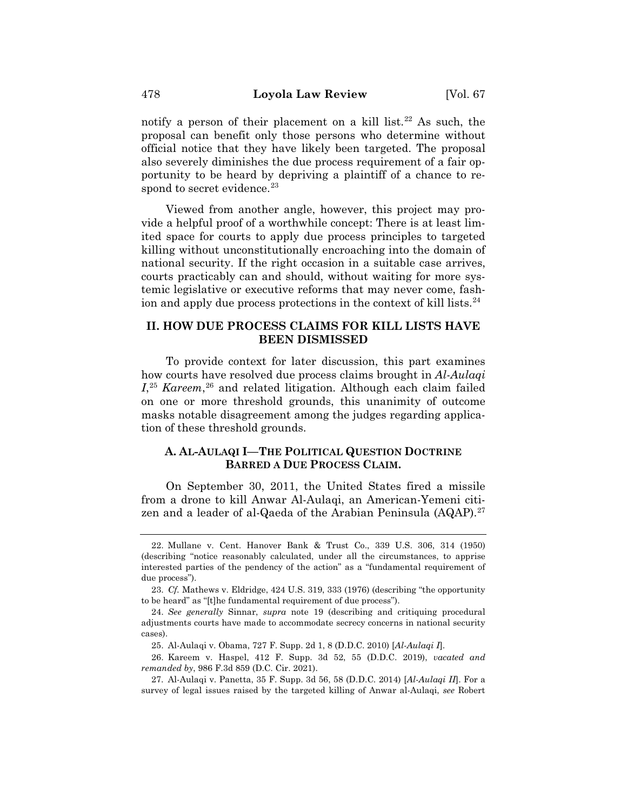notify a person of their placement on a kill list.<sup>22</sup> As such, the proposal can benefit only those persons who determine without official notice that they have likely been targeted. The proposal also severely diminishes the due process requirement of a fair opportunity to be heard by depriving a plaintiff of a chance to respond to secret evidence.<sup>23</sup>

Viewed from another angle, however, this project may provide a helpful proof of a worthwhile concept: There is at least limited space for courts to apply due process principles to targeted killing without unconstitutionally encroaching into the domain of national security. If the right occasion in a suitable case arrives, courts practicably can and should, without waiting for more systemic legislative or executive reforms that may never come, fashion and apply due process protections in the context of kill lists.<sup>24</sup>

## **II. HOW DUE PROCESS CLAIMS FOR KILL LISTS HAVE BEEN DISMISSED**

To provide context for later discussion, this part examines how courts have resolved due process claims brought in *Al-Aulaqi*  I<sup>25</sup> *Kareem*<sup>26</sup> and related litigation. Although each claim failed on one or more threshold grounds, this unanimity of outcome masks notable disagreement among the judges regarding application of these threshold grounds.

## **A. AL-AULAQI I—THE POLITICAL QUESTION DOCTRINE BARRED A DUE PROCESS CLAIM.**

On September 30, 2011, the United States fired a missile from a drone to kill Anwar Al-Aulaqi, an American-Yemeni citizen and a leader of al-Qaeda of the Arabian Peninsula  $(AQAP)$ .<sup>27</sup>

<sup>22.</sup> Mullane v. Cent. Hanover Bank & Trust Co., 339 U.S. 306, 314 (1950) (describing "notice reasonably calculated, under all the circumstances, to apprise interested parties of the pendency of the action" as a "fundamental requirement of due process").

<sup>23.</sup> *Cf.* Mathews v. Eldridge, 424 U.S. 319, 333 (1976) (describing "the opportunity to be heard" as "[t]he fundamental requirement of due process").

<sup>24.</sup> *See generally* Sinnar, *supra* note 19 (describing and critiquing procedural adjustments courts have made to accommodate secrecy concerns in national security cases).

<sup>25.</sup> Al-Aulaqi v. Obama, 727 F. Supp. 2d 1, 8 (D.D.C. 2010) [*Al-Aulaqi I*].

<sup>26.</sup> Kareem v. Haspel, 412 F. Supp. 3d 52, 55 (D.D.C. 2019), *vacated and remanded by*, 986 F.3d 859 (D.C. Cir. 2021).

<sup>27.</sup> Al-Aulaqi v. Panetta, 35 F. Supp. 3d 56, 58 (D.D.C. 2014) [*Al-Aulaqi II*]. For a survey of legal issues raised by the targeted killing of Anwar al-Aulaqi, *see* Robert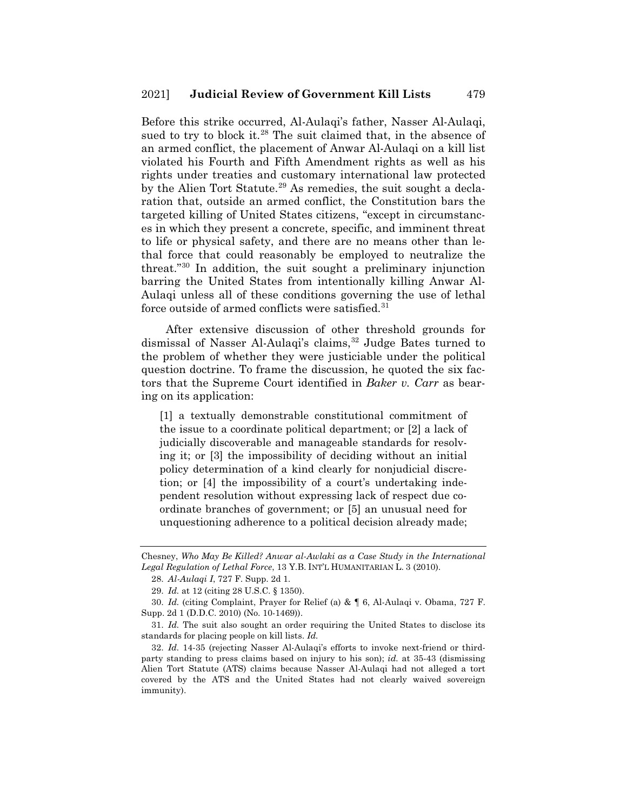Before this strike occurred, Al-Aulaqi's father, Nasser Al-Aulaqi, sued to try to block it.<sup>28</sup> The suit claimed that, in the absence of an armed conflict, the placement of Anwar Al-Aulaqi on a kill list violated his Fourth and Fifth Amendment rights as well as his rights under treaties and customary international law protected by the Alien Tort Statute.<sup>29</sup> As remedies, the suit sought a declaration that, outside an armed conflict, the Constitution bars the targeted killing of United States citizens, "except in circumstances in which they present a concrete, specific, and imminent threat to life or physical safety, and there are no means other than lethal force that could reasonably be employed to neutralize the threat."30 In addition, the suit sought a preliminary injunction barring the United States from intentionally killing Anwar Al-Aulaqi unless all of these conditions governing the use of lethal force outside of armed conflicts were satisfied.<sup>31</sup>

After extensive discussion of other threshold grounds for dismissal of Nasser Al-Aulagi's claims,<sup>32</sup> Judge Bates turned to the problem of whether they were justiciable under the political question doctrine. To frame the discussion, he quoted the six factors that the Supreme Court identified in *Baker v. Carr* as bearing on its application:

[1] a textually demonstrable constitutional commitment of the issue to a coordinate political department; or [2] a lack of judicially discoverable and manageable standards for resolving it; or [3] the impossibility of deciding without an initial policy determination of a kind clearly for nonjudicial discretion; or [4] the impossibility of a court's undertaking independent resolution without expressing lack of respect due coordinate branches of government; or [5] an unusual need for unquestioning adherence to a political decision already made;

30. *Id.* (citing Complaint, Prayer for Relief (a) & ¶ 6, Al-Aulaqi v. Obama, 727 F. Supp. 2d 1 (D.D.C. 2010) (No. 10-1469)).

31. *Id.* The suit also sought an order requiring the United States to disclose its standards for placing people on kill lists. *Id.*

32. *Id.* 14-35 (rejecting Nasser Al-Aulaqi's efforts to invoke next-friend or thirdparty standing to press claims based on injury to his son); *id.* at 35-43 (dismissing Alien Tort Statute (ATS) claims because Nasser Al-Aulaqi had not alleged a tort covered by the ATS and the United States had not clearly waived sovereign immunity).

Chesney, *Who May Be Killed? Anwar al-Awlaki as a Case Study in the International Legal Regulation of Lethal Force*, 13 Y.B. INT'L HUMANITARIAN L. 3 (2010).

<sup>28.</sup> *Al-Aulaqi I*, 727 F. Supp. 2d 1.

<sup>29.</sup> *Id.* at 12 (citing 28 U.S.C. § 1350).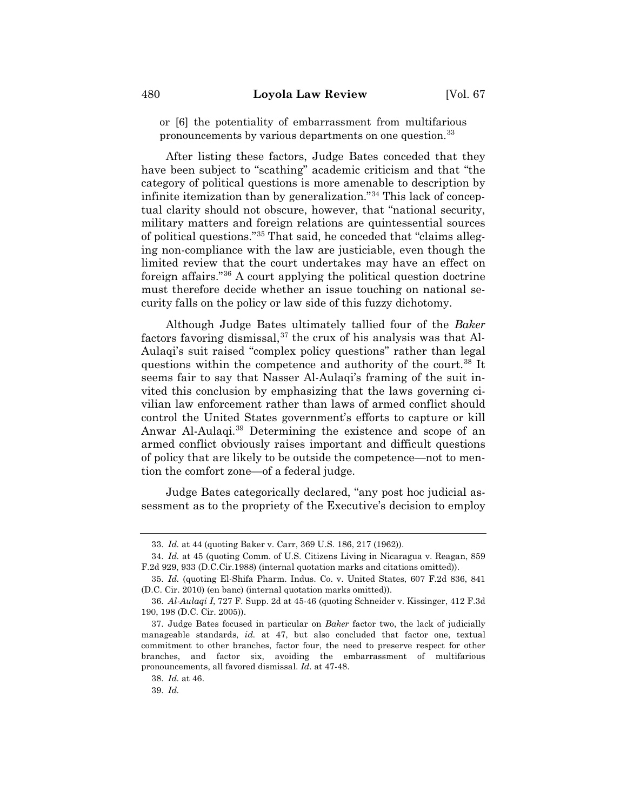or [6] the potentiality of embarrassment from multifarious pronouncements by various departments on one question.<sup>33</sup>

After listing these factors, Judge Bates conceded that they have been subject to "scathing" academic criticism and that "the category of political questions is more amenable to description by infinite itemization than by generalization."34 This lack of conceptual clarity should not obscure, however, that "national security, military matters and foreign relations are quintessential sources of political questions."35 That said, he conceded that "claims alleging non-compliance with the law are justiciable, even though the limited review that the court undertakes may have an effect on foreign affairs."36 A court applying the political question doctrine must therefore decide whether an issue touching on national security falls on the policy or law side of this fuzzy dichotomy.

Although Judge Bates ultimately tallied four of the *Baker*  factors favoring dismissal, $37$  the crux of his analysis was that Al-Aulaqi's suit raised "complex policy questions" rather than legal questions within the competence and authority of the court.<sup>38</sup> It seems fair to say that Nasser Al-Aulaqi's framing of the suit invited this conclusion by emphasizing that the laws governing civilian law enforcement rather than laws of armed conflict should control the United States government's efforts to capture or kill Anwar Al-Aulaqi.39 Determining the existence and scope of an armed conflict obviously raises important and difficult questions of policy that are likely to be outside the competence—not to mention the comfort zone—of a federal judge.

Judge Bates categorically declared, "any post hoc judicial assessment as to the propriety of the Executive's decision to employ

<sup>33.</sup> *Id.* at 44 (quoting Baker v. Carr, 369 U.S. 186, 217 (1962)).

<sup>34.</sup> *Id.* at 45 (quoting Comm. of U.S. Citizens Living in Nicaragua v. Reagan, 859 F.2d 929, 933 (D.C.Cir.1988) (internal quotation marks and citations omitted)).

<sup>35.</sup> *Id.* (quoting El-Shifa Pharm. Indus. Co. v. United States, 607 F.2d 836, 841 (D.C. Cir. 2010) (en banc) (internal quotation marks omitted)).

<sup>36.</sup> *Al-Aulaqi I*, 727 F. Supp. 2d at 45-46 (quoting Schneider v. Kissinger, 412 F.3d 190, 198 (D.C. Cir. 2005)).

<sup>37.</sup> Judge Bates focused in particular on *Baker* factor two, the lack of judicially manageable standards, *id.* at 47, but also concluded that factor one, textual commitment to other branches, factor four, the need to preserve respect for other branches, and factor six, avoiding the embarrassment of multifarious pronouncements, all favored dismissal. *Id.* at 47-48.

<sup>38.</sup> *Id.* at 46.

<sup>39.</sup> *Id.*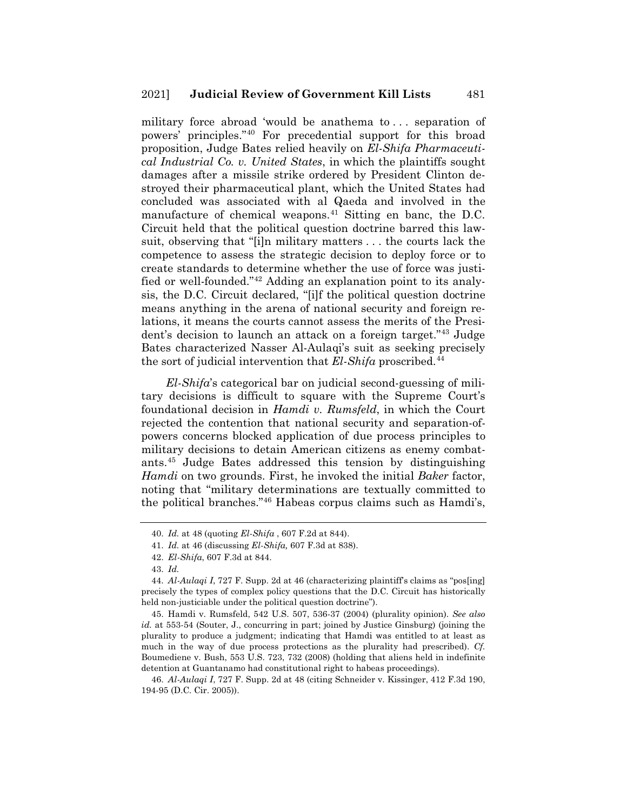military force abroad 'would be anathema to . . . separation of powers' principles."40 For precedential support for this broad proposition, Judge Bates relied heavily on *El-Shifa Pharmaceutical Industrial Co. v. United States*, in which the plaintiffs sought damages after a missile strike ordered by President Clinton destroyed their pharmaceutical plant, which the United States had concluded was associated with al Qaeda and involved in the manufacture of chemical weapons. $41$  Sitting en banc, the D.C. Circuit held that the political question doctrine barred this lawsuit, observing that "[i]n military matters . . . the courts lack the competence to assess the strategic decision to deploy force or to create standards to determine whether the use of force was justified or well-founded."42 Adding an explanation point to its analysis, the D.C. Circuit declared, "[i]f the political question doctrine means anything in the arena of national security and foreign relations, it means the courts cannot assess the merits of the President's decision to launch an attack on a foreign target."43 Judge Bates characterized Nasser Al-Aulaqi's suit as seeking precisely the sort of judicial intervention that *El-Shifa* proscribed.44

*El-Shifa*'s categorical bar on judicial second-guessing of military decisions is difficult to square with the Supreme Court's foundational decision in *Hamdi v. Rumsfeld*, in which the Court rejected the contention that national security and separation-ofpowers concerns blocked application of due process principles to military decisions to detain American citizens as enemy combatants.45 Judge Bates addressed this tension by distinguishing *Hamdi* on two grounds. First, he invoked the initial *Baker* factor, noting that "military determinations are textually committed to the political branches."46 Habeas corpus claims such as Hamdi's,

<sup>40.</sup> *Id.* at 48 (quoting *El-Shifa* , 607 F.2d at 844).

<sup>41.</sup> *Id.* at 46 (discussing *El-Shifa,* 607 F.3d at 838).

<sup>42.</sup> *El-Shifa*, 607 F.3d at 844.

<sup>43.</sup> *Id.*

<sup>44.</sup> *Al-Aulaqi I*, 727 F. Supp. 2d at 46 (characterizing plaintiff's claims as "pos[ing] precisely the types of complex policy questions that the D.C. Circuit has historically held non-justiciable under the political question doctrine").

<sup>45.</sup> Hamdi v. Rumsfeld, 542 U.S. 507, 536-37 (2004) (plurality opinion). *See also id.* at 553-54 (Souter, J., concurring in part; joined by Justice Ginsburg) (joining the plurality to produce a judgment; indicating that Hamdi was entitled to at least as much in the way of due process protections as the plurality had prescribed). *Cf.*  Boumediene v. Bush, 553 U.S. 723, 732 (2008) (holding that aliens held in indefinite detention at Guantanamo had constitutional right to habeas proceedings).

<sup>46.</sup> *Al-Aulaqi I*, 727 F. Supp. 2d at 48 (citing Schneider v. Kissinger, 412 F.3d 190, 194-95 (D.C. Cir. 2005)).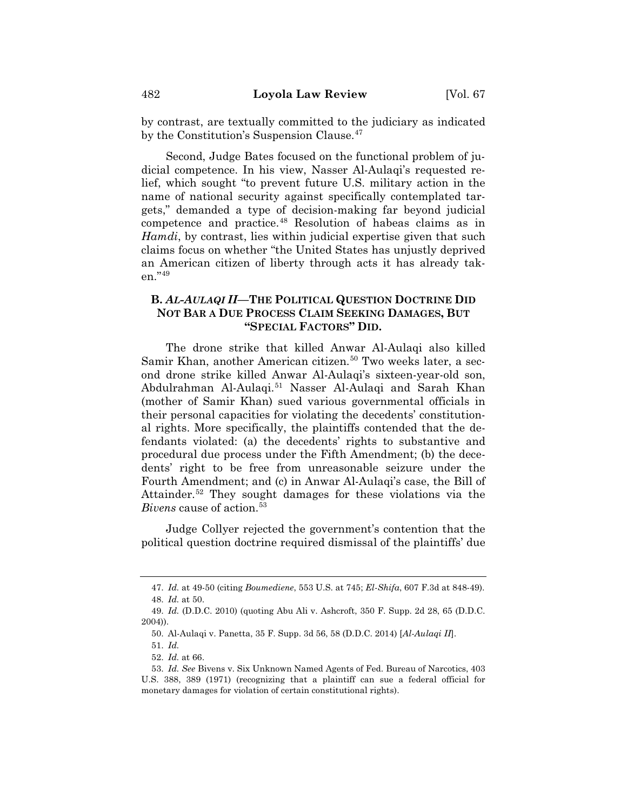by contrast, are textually committed to the judiciary as indicated by the Constitution's Suspension Clause.<sup>47</sup>

Second, Judge Bates focused on the functional problem of judicial competence. In his view, Nasser Al-Aulaqi's requested relief, which sought "to prevent future U.S. military action in the name of national security against specifically contemplated targets," demanded a type of decision-making far beyond judicial competence and practice.48 Resolution of habeas claims as in *Hamdi*, by contrast, lies within judicial expertise given that such claims focus on whether "the United States has unjustly deprived an American citizen of liberty through acts it has already taken."49

# **B.** *AL-AULAQI II***—THE POLITICAL QUESTION DOCTRINE DID NOT BAR A DUE PROCESS CLAIM SEEKING DAMAGES, BUT "SPECIAL FACTORS" DID.**

The drone strike that killed Anwar Al-Aulaqi also killed Samir Khan, another American citizen.<sup>50</sup> Two weeks later, a second drone strike killed Anwar Al-Aulaqi's sixteen-year-old son, Abdulrahman Al-Aulaqi.51 Nasser Al-Aulaqi and Sarah Khan (mother of Samir Khan) sued various governmental officials in their personal capacities for violating the decedents' constitutional rights. More specifically, the plaintiffs contended that the defendants violated: (a) the decedents' rights to substantive and procedural due process under the Fifth Amendment; (b) the decedents' right to be free from unreasonable seizure under the Fourth Amendment; and (c) in Anwar Al-Aulaqi's case, the Bill of Attainder.<sup>52</sup> They sought damages for these violations via the *Bivens* cause of action.<sup>53</sup>

Judge Collyer rejected the government's contention that the political question doctrine required dismissal of the plaintiffs' due

<sup>47.</sup> *Id.* at 49-50 (citing *Boumediene*, 553 U.S. at 745; *El-Shifa*, 607 F.3d at 848-49). 48. *Id.* at 50.

<sup>49.</sup> *Id.* (D.D.C. 2010) (quoting Abu Ali v. Ashcroft, 350 F. Supp. 2d 28, 65 (D.D.C. 2004)).

<sup>50.</sup> Al-Aulaqi v. Panetta, 35 F. Supp. 3d 56, 58 (D.D.C. 2014) [*Al-Aulaqi II*].

<sup>51.</sup> *Id.*

<sup>52.</sup> *Id.* at 66.

<sup>53.</sup> *Id. See* Bivens v. Six Unknown Named Agents of Fed. Bureau of Narcotics, 403 U.S. 388, 389 (1971) (recognizing that a plaintiff can sue a federal official for monetary damages for violation of certain constitutional rights).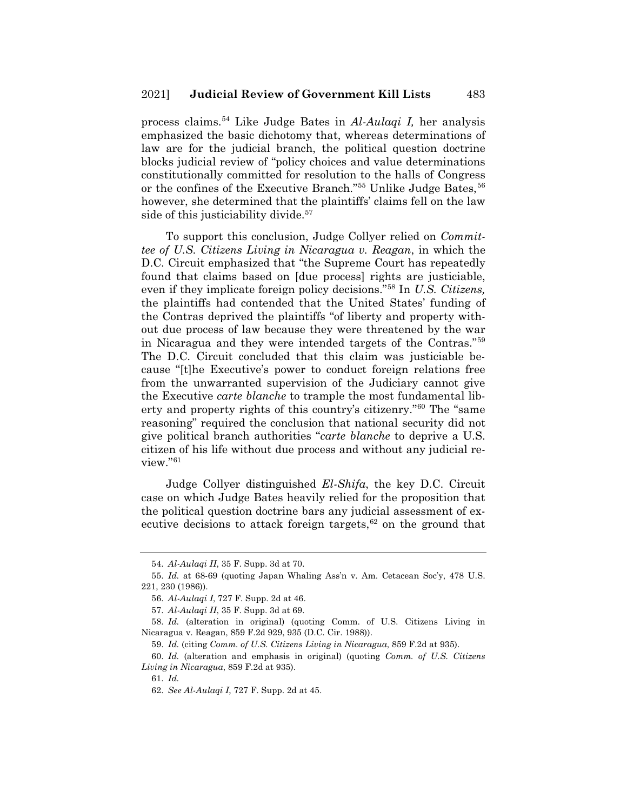process claims.54 Like Judge Bates in *Al-Aulaqi I,* her analysis emphasized the basic dichotomy that, whereas determinations of law are for the judicial branch, the political question doctrine blocks judicial review of "policy choices and value determinations constitutionally committed for resolution to the halls of Congress or the confines of the Executive Branch."<sup>55</sup> Unlike Judge Bates, <sup>56</sup> however, she determined that the plaintiffs' claims fell on the law side of this justiciability divide.<sup>57</sup>

To support this conclusion, Judge Collyer relied on *Committee of U.S. Citizens Living in Nicaragua v. Reagan*, in which the D.C. Circuit emphasized that "the Supreme Court has repeatedly found that claims based on [due process] rights are justiciable, even if they implicate foreign policy decisions."58 In *U.S. Citizens,*  the plaintiffs had contended that the United States' funding of the Contras deprived the plaintiffs "of liberty and property without due process of law because they were threatened by the war in Nicaragua and they were intended targets of the Contras."59 The D.C. Circuit concluded that this claim was justiciable because "[t]he Executive's power to conduct foreign relations free from the unwarranted supervision of the Judiciary cannot give the Executive *carte blanche* to trample the most fundamental liberty and property rights of this country's citizenry."60 The "same reasoning" required the conclusion that national security did not give political branch authorities "*carte blanche* to deprive a U.S. citizen of his life without due process and without any judicial review."61

Judge Collyer distinguished *El-Shifa*, the key D.C. Circuit case on which Judge Bates heavily relied for the proposition that the political question doctrine bars any judicial assessment of executive decisions to attack foreign targets, $62$  on the ground that

<sup>54.</sup> *Al-Aulaqi II*, 35 F. Supp. 3d at 70.

<sup>55.</sup> *Id.* at 68-69 (quoting Japan Whaling Ass'n v. Am. Cetacean Soc'y, 478 U.S. 221, 230 (1986)).

<sup>56.</sup> *Al-Aulaqi I*, 727 F. Supp. 2d at 46.

<sup>57.</sup> *Al-Aulaqi II*, 35 F. Supp. 3d at 69.

<sup>58.</sup> *Id.* (alteration in original) (quoting Comm. of U.S. Citizens Living in Nicaragua v. Reagan, 859 F.2d 929, 935 (D.C. Cir. 1988)).

<sup>59.</sup> *Id.* (citing *Comm. of U.S. Citizens Living in Nicaragua*, 859 F.2d at 935).

<sup>60.</sup> *Id.* (alteration and emphasis in original) (quoting *Comm. of U.S. Citizens Living in Nicaragua*, 859 F.2d at 935).

<sup>61.</sup> *Id.*

<sup>62.</sup> *See Al-Aulaqi I*, 727 F. Supp. 2d at 45.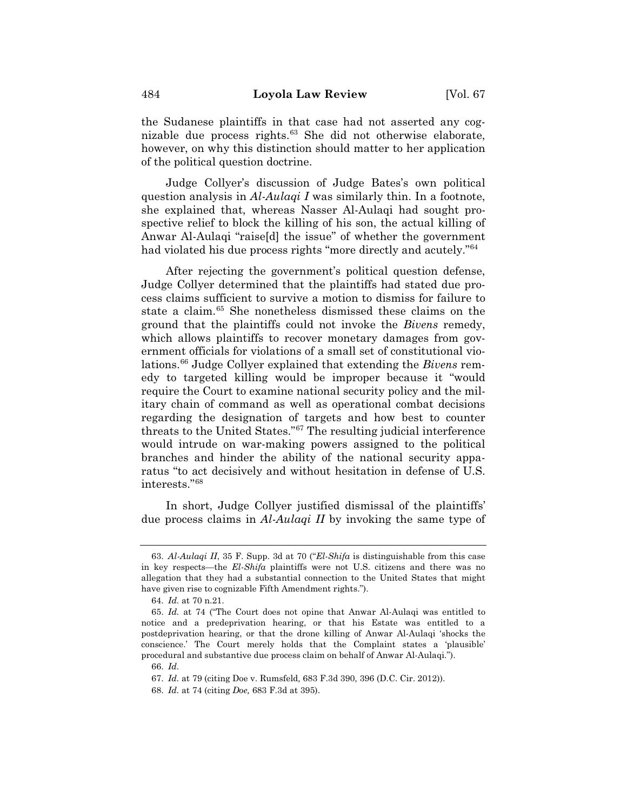the Sudanese plaintiffs in that case had not asserted any cognizable due process rights.<sup>63</sup> She did not otherwise elaborate, however, on why this distinction should matter to her application of the political question doctrine.

Judge Collyer's discussion of Judge Bates's own political question analysis in *Al-Aulaqi I* was similarly thin. In a footnote, she explained that, whereas Nasser Al-Aulaqi had sought prospective relief to block the killing of his son, the actual killing of Anwar Al-Aulaqi "raise[d] the issue" of whether the government had violated his due process rights "more directly and acutely."<sup>64</sup>

After rejecting the government's political question defense, Judge Collyer determined that the plaintiffs had stated due process claims sufficient to survive a motion to dismiss for failure to state a claim.65 She nonetheless dismissed these claims on the ground that the plaintiffs could not invoke the *Bivens* remedy, which allows plaintiffs to recover monetary damages from government officials for violations of a small set of constitutional violations.66 Judge Collyer explained that extending the *Bivens* remedy to targeted killing would be improper because it "would require the Court to examine national security policy and the military chain of command as well as operational combat decisions regarding the designation of targets and how best to counter threats to the United States."67 The resulting judicial interference would intrude on war-making powers assigned to the political branches and hinder the ability of the national security apparatus "to act decisively and without hesitation in defense of U.S. interests."68

In short, Judge Collyer justified dismissal of the plaintiffs' due process claims in *Al-Aulaqi II* by invoking the same type of

<sup>63.</sup> *Al-Aulaqi II*, 35 F. Supp. 3d at 70 ("*El-Shifa* is distinguishable from this case in key respects—the *El-Shifa* plaintiffs were not U.S. citizens and there was no allegation that they had a substantial connection to the United States that might have given rise to cognizable Fifth Amendment rights.").

<sup>64.</sup> *Id.* at 70 n.21.

<sup>65.</sup> *Id.* at 74 ("The Court does not opine that Anwar Al-Aulaqi was entitled to notice and a predeprivation hearing, or that his Estate was entitled to a postdeprivation hearing, or that the drone killing of Anwar Al-Aulaqi 'shocks the conscience.' The Court merely holds that the Complaint states a 'plausible' procedural and substantive due process claim on behalf of Anwar Al-Aulaqi.").

<sup>66.</sup> *Id.*

<sup>67.</sup> *Id.* at 79 (citing Doe v. Rumsfeld*,* 683 F.3d 390, 396 (D.C. Cir. 2012)).

<sup>68.</sup> *Id.* at 74 (citing *Doe,* 683 F.3d at 395).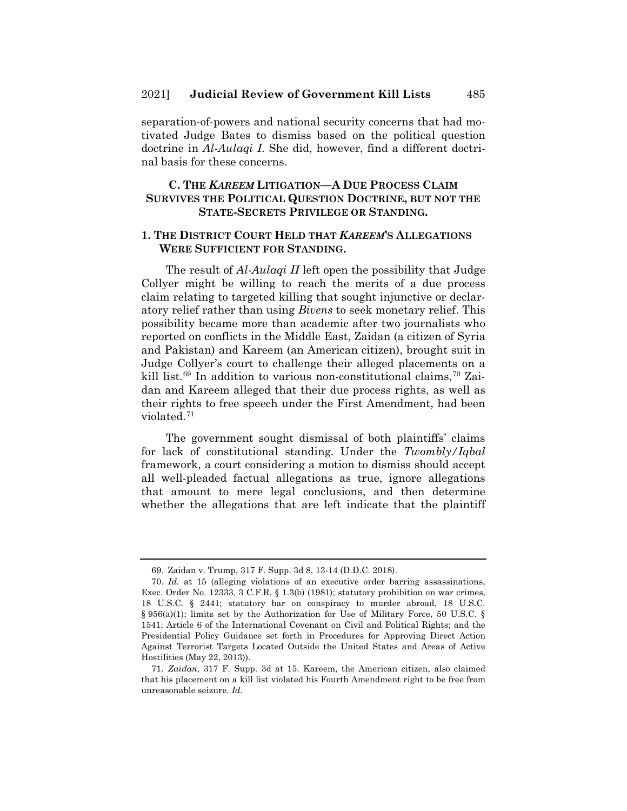separation-of-powers and national security concerns that had motivated Judge Bates to dismiss based on the political question doctrine in *Al-Aulaqi I*. She did, however, find a different doctrinal basis for these concerns.

# **C. THE** *KAREEM* **LITIGATION—A DUE PROCESS CLAIM SURVIVES THE POLITICAL QUESTION DOCTRINE, BUT NOT THE STATE-SECRETS PRIVILEGE OR STANDING.**

#### **1. THE DISTRICT COURT HELD THAT** *KAREEM***'S ALLEGATIONS WERE SUFFICIENT FOR STANDING.**

The result of *Al-Aulaqi II* left open the possibility that Judge Collyer might be willing to reach the merits of a due process claim relating to targeted killing that sought injunctive or declaratory relief rather than using *Bivens* to seek monetary relief. This possibility became more than academic after two journalists who reported on conflicts in the Middle East, Zaidan (a citizen of Syria and Pakistan) and Kareem (an American citizen), brought suit in Judge Collyer's court to challenge their alleged placements on a kill list.<sup>69</sup> In addition to various non-constitutional claims,<sup>70</sup> Zaidan and Kareem alleged that their due process rights, as well as their rights to free speech under the First Amendment, had been violated.71

The government sought dismissal of both plaintiffs' claims for lack of constitutional standing. Under the *Twombly/Iqbal*  framework, a court considering a motion to dismiss should accept all well-pleaded factual allegations as true, ignore allegations that amount to mere legal conclusions, and then determine whether the allegations that are left indicate that the plaintiff

<sup>69.</sup> Zaidan v. Trump, 317 F. Supp. 3d 8, 13-14 (D.D.C. 2018).

<sup>70.</sup> *Id.* at 15 (alleging violations of an executive order barring assassinations, Exec. Order No. 12333, 3 C.F.R. § 1.3(b) (1981); statutory prohibition on war crimes, 18 U.S.C. § 2441; statutory bar on conspiracy to murder abroad, 18 U.S.C. § 956(a)(1); limits set by the Authorization for Use of Military Force, 50 U.S.C. § 1541; Article 6 of the International Covenant on Civil and Political Rights; and the Presidential Policy Guidance set forth in Procedures for Approving Direct Action Against Terrorist Targets Located Outside the United States and Areas of Active Hostilities (May 22, 2013)).

<sup>71.</sup> *Zaidan*, 317 F. Supp. 3d at 15. Kareem, the American citizen, also claimed that his placement on a kill list violated his Fourth Amendment right to be free from unreasonable seizure. *Id.*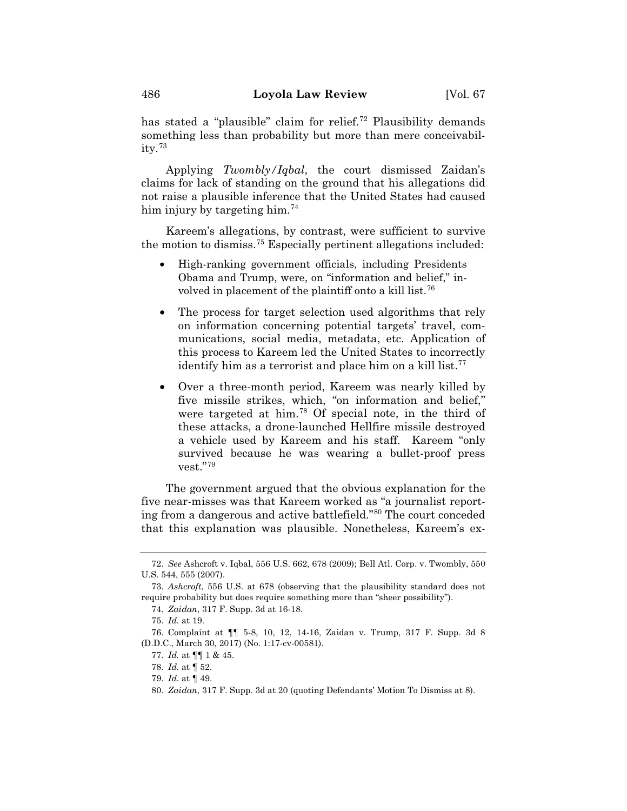has stated a "plausible" claim for relief.<sup>72</sup> Plausibility demands something less than probability but more than mere conceivability.73

Applying *Twombly/Iqbal*, the court dismissed Zaidan's claims for lack of standing on the ground that his allegations did not raise a plausible inference that the United States had caused him injury by targeting him.<sup>74</sup>

Kareem's allegations, by contrast, were sufficient to survive the motion to dismiss.75 Especially pertinent allegations included:

- High-ranking government officials, including Presidents Obama and Trump, were, on "information and belief," involved in placement of the plaintiff onto a kill list.<sup>76</sup>
- The process for target selection used algorithms that rely on information concerning potential targets' travel, communications, social media, metadata, etc. Application of this process to Kareem led the United States to incorrectly identify him as a terrorist and place him on a kill list. $77$
- Over a three-month period, Kareem was nearly killed by five missile strikes, which, "on information and belief," were targeted at him.78 Of special note, in the third of these attacks, a drone-launched Hellfire missile destroyed a vehicle used by Kareem and his staff. Kareem "only survived because he was wearing a bullet-proof press vest."79

The government argued that the obvious explanation for the five near-misses was that Kareem worked as "a journalist reporting from a dangerous and active battlefield."80 The court conceded that this explanation was plausible. Nonetheless, Kareem's ex-

<sup>72.</sup> *See* Ashcroft v. Iqbal, 556 U.S. 662, 678 (2009); Bell Atl. Corp. v. Twombly, 550 U.S. 544, 555 (2007).

<sup>73.</sup> *Ashcroft*, 556 U.S. at 678 (observing that the plausibility standard does not require probability but does require something more than "sheer possibility").

<sup>74.</sup> *Zaidan*, 317 F. Supp. 3d at 16-18.

<sup>75.</sup> *Id.* at 19.

<sup>76.</sup> Complaint at ¶¶ 5-8, 10, 12, 14-16, Zaidan v. Trump, 317 F. Supp. 3d 8 (D.D.C., March 30, 2017) (No. 1:17-cv-00581).

<sup>77.</sup> *Id.* at ¶¶ 1 & 45.

<sup>78.</sup> *Id.* at ¶ 52.

<sup>79.</sup> *Id.* at ¶ 49.

<sup>80.</sup> *Zaidan*, 317 F. Supp. 3d at 20 (quoting Defendants' Motion To Dismiss at 8).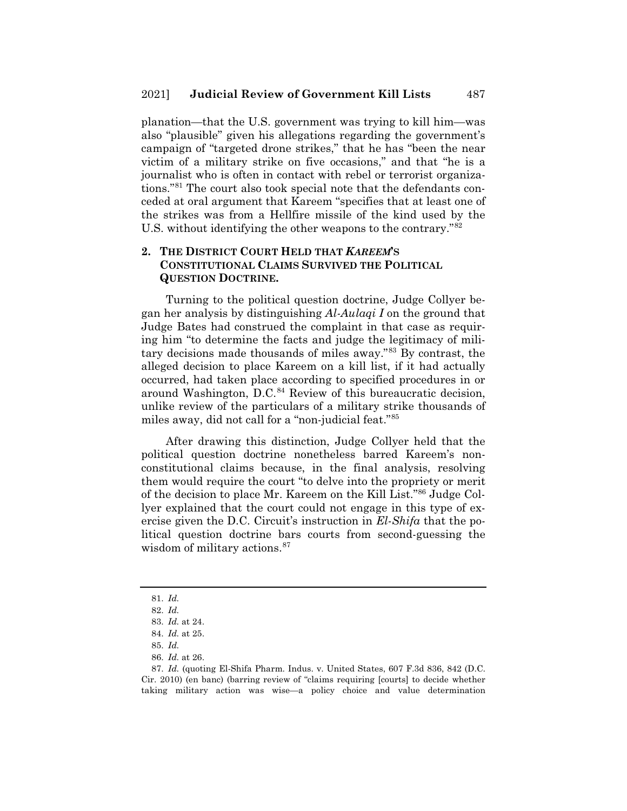planation—that the U.S. government was trying to kill him—was also "plausible" given his allegations regarding the government's campaign of "targeted drone strikes," that he has "been the near victim of a military strike on five occasions," and that "he is a journalist who is often in contact with rebel or terrorist organizations."81 The court also took special note that the defendants conceded at oral argument that Kareem "specifies that at least one of the strikes was from a Hellfire missile of the kind used by the U.S. without identifying the other weapons to the contrary."82

#### **2. THE DISTRICT COURT HELD THAT** *KAREEM***'S CONSTITUTIONAL CLAIMS SURVIVED THE POLITICAL QUESTION DOCTRINE.**

Turning to the political question doctrine, Judge Collyer began her analysis by distinguishing *Al-Aulaqi I* on the ground that Judge Bates had construed the complaint in that case as requiring him "to determine the facts and judge the legitimacy of military decisions made thousands of miles away."83 By contrast, the alleged decision to place Kareem on a kill list, if it had actually occurred, had taken place according to specified procedures in or around Washington,  $D.C.<sup>84</sup>$  Review of this bureaucratic decision, unlike review of the particulars of a military strike thousands of miles away, did not call for a "non-judicial feat."85

After drawing this distinction, Judge Collyer held that the political question doctrine nonetheless barred Kareem's nonconstitutional claims because, in the final analysis, resolving them would require the court "to delve into the propriety or merit of the decision to place Mr. Kareem on the Kill List."86 Judge Collyer explained that the court could not engage in this type of exercise given the D.C. Circuit's instruction in *El-Shifa* that the political question doctrine bars courts from second-guessing the wisdom of military actions.<sup>87</sup>

<sup>81.</sup> *Id.*

<sup>82.</sup> *Id.*

<sup>83.</sup> *Id.* at 24.

<sup>84.</sup> *Id.* at 25.

<sup>85.</sup> *Id.*

<sup>86.</sup> *Id.* at 26.

<sup>87.</sup> *Id.* (quoting El-Shifa Pharm. Indus. v. United States, 607 F.3d 836, 842 (D.C. Cir. 2010) (en banc) (barring review of "claims requiring [courts] to decide whether taking military action was wise—a policy choice and value determination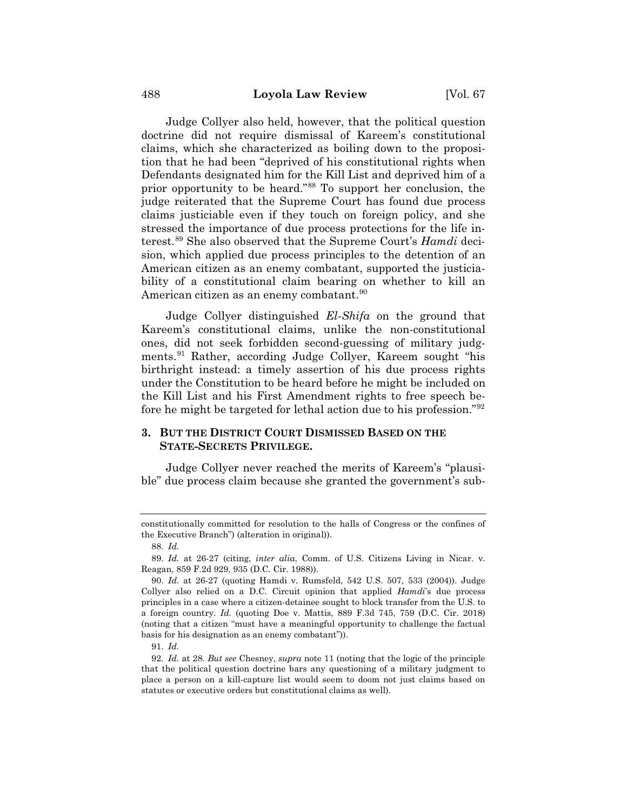Judge Collyer also held, however, that the political question doctrine did not require dismissal of Kareem's constitutional claims, which she characterized as boiling down to the proposition that he had been "deprived of his constitutional rights when Defendants designated him for the Kill List and deprived him of a prior opportunity to be heard."88 To support her conclusion, the judge reiterated that the Supreme Court has found due process claims justiciable even if they touch on foreign policy, and she stressed the importance of due process protections for the life interest.89 She also observed that the Supreme Court's *Hamdi* decision, which applied due process principles to the detention of an American citizen as an enemy combatant, supported the justiciability of a constitutional claim bearing on whether to kill an American citizen as an enemy combatant.<sup>90</sup>

Judge Collyer distinguished *El-Shifa* on the ground that Kareem's constitutional claims, unlike the non-constitutional ones, did not seek forbidden second-guessing of military judgments.91 Rather, according Judge Collyer, Kareem sought "his birthright instead: a timely assertion of his due process rights under the Constitution to be heard before he might be included on the Kill List and his First Amendment rights to free speech before he might be targeted for lethal action due to his profession."92

## **3. BUT THE DISTRICT COURT DISMISSED BASED ON THE STATE-SECRETS PRIVILEGE.**

Judge Collyer never reached the merits of Kareem's "plausible" due process claim because she granted the government's sub-

constitutionally committed for resolution to the halls of Congress or the confines of the Executive Branch") (alteration in original)).

<sup>88.</sup> *Id.*

<sup>89.</sup> *Id.* at 26-27 (citing, *inter alia*, Comm. of U.S. Citizens Living in Nicar. v. Reagan, 859 F.2d 929, 935 (D.C. Cir. 1988)).

<sup>90.</sup> *Id.* at 26-27 (quoting Hamdi v. Rumsfeld, 542 U.S. 507, 533 (2004)). Judge Collyer also relied on a D.C. Circuit opinion that applied *Hamdi*'s due process principles in a case where a citizen-detainee sought to block transfer from the U.S. to a foreign country. *Id.* (quoting Doe v. Mattis, 889 F.3d 745, 759 (D.C. Cir. 2018) (noting that a citizen "must have a meaningful opportunity to challenge the factual basis for his designation as an enemy combatant")).

<sup>91.</sup> *Id.*

<sup>92.</sup> *Id*. at 28. *But see* Chesney, *supra* note 11 (noting that the logic of the principle that the political question doctrine bars any questioning of a military judgment to place a person on a kill-capture list would seem to doom not just claims based on statutes or executive orders but constitutional claims as well).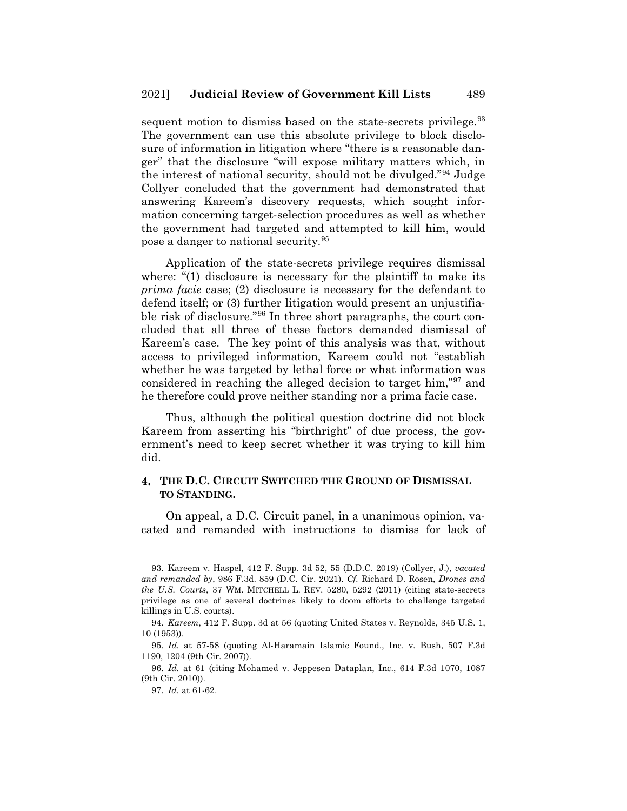sequent motion to dismiss based on the state-secrets privilege.<sup>93</sup> The government can use this absolute privilege to block disclosure of information in litigation where "there is a reasonable danger" that the disclosure "will expose military matters which, in the interest of national security, should not be divulged."94 Judge Collyer concluded that the government had demonstrated that answering Kareem's discovery requests, which sought information concerning target-selection procedures as well as whether the government had targeted and attempted to kill him, would pose a danger to national security.95

Application of the state-secrets privilege requires dismissal where: "(1) disclosure is necessary for the plaintiff to make its *prima facie* case; (2) disclosure is necessary for the defendant to defend itself; or (3) further litigation would present an unjustifiable risk of disclosure."96 In three short paragraphs, the court concluded that all three of these factors demanded dismissal of Kareem's case. The key point of this analysis was that, without access to privileged information, Kareem could not "establish whether he was targeted by lethal force or what information was considered in reaching the alleged decision to target him,"97 and he therefore could prove neither standing nor a prima facie case.

Thus, although the political question doctrine did not block Kareem from asserting his "birthright" of due process, the government's need to keep secret whether it was trying to kill him did.

#### **4. THE D.C. CIRCUIT SWITCHED THE GROUND OF DISMISSAL TO STANDING.**

On appeal, a D.C. Circuit panel, in a unanimous opinion, vacated and remanded with instructions to dismiss for lack of

<sup>93.</sup> Kareem v. Haspel, 412 F. Supp. 3d 52, 55 (D.D.C. 2019) (Collyer, J.), *vacated and remanded by*, 986 F.3d. 859 (D.C. Cir. 2021). *Cf.* Richard D. Rosen, *Drones and the U.S. Courts*, 37 WM. MITCHELL L. REV. 5280, 5292 (2011) (citing state-secrets privilege as one of several doctrines likely to doom efforts to challenge targeted killings in U.S. courts).

<sup>94.</sup> *Kareem*, 412 F. Supp. 3d at 56 (quoting United States v. Reynolds, 345 U.S. 1, 10 (1953)).

<sup>95.</sup> *Id.* at 57-58 (quoting Al-Haramain Islamic Found., Inc. v. Bush, 507 F.3d 1190, 1204 (9th Cir. 2007)).

<sup>96.</sup> *Id.* at 61 (citing Mohamed v. Jeppesen Dataplan, Inc., 614 F.3d 1070, 1087 (9th Cir. 2010)).

<sup>97.</sup> *Id.* at 61-62.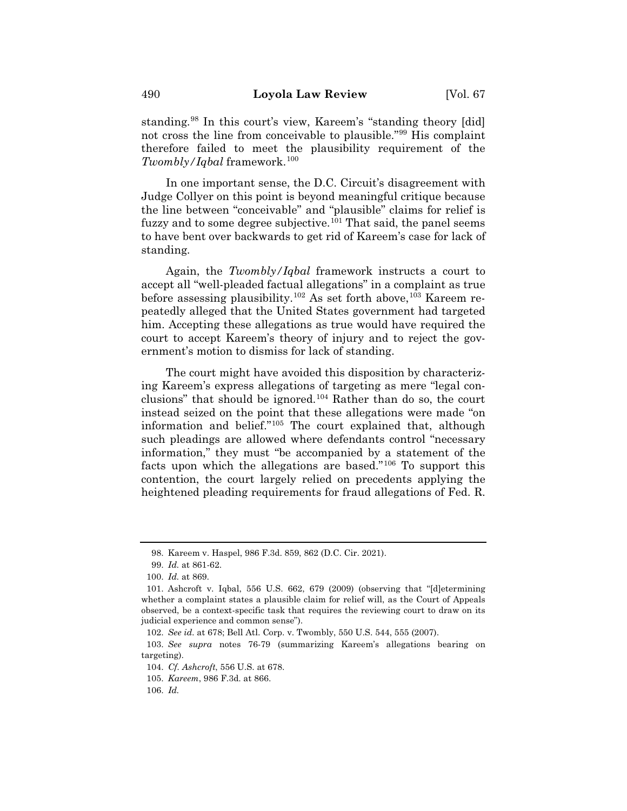standing.98 In this court's view, Kareem's "standing theory [did] not cross the line from conceivable to plausible."99 His complaint therefore failed to meet the plausibility requirement of the *Twombly/Iqbal* framework.100

In one important sense, the D.C. Circuit's disagreement with Judge Collyer on this point is beyond meaningful critique because the line between "conceivable" and "plausible" claims for relief is fuzzy and to some degree subjective.<sup>101</sup> That said, the panel seems to have bent over backwards to get rid of Kareem's case for lack of standing.

Again, the *Twombly/Iqbal* framework instructs a court to accept all "well-pleaded factual allegations" in a complaint as true before assessing plausibility.<sup>102</sup> As set forth above,<sup>103</sup> Kareem repeatedly alleged that the United States government had targeted him. Accepting these allegations as true would have required the court to accept Kareem's theory of injury and to reject the government's motion to dismiss for lack of standing.

The court might have avoided this disposition by characterizing Kareem's express allegations of targeting as mere "legal conclusions" that should be ignored.<sup>104</sup> Rather than do so, the court instead seized on the point that these allegations were made "on information and belief."105 The court explained that, although such pleadings are allowed where defendants control "necessary information," they must "be accompanied by a statement of the facts upon which the allegations are based."106 To support this contention, the court largely relied on precedents applying the heightened pleading requirements for fraud allegations of Fed. R.

<sup>98.</sup> Kareem v. Haspel, 986 F.3d. 859, 862 (D.C. Cir. 2021).

<sup>99.</sup> *Id.* at 861-62.

<sup>100.</sup> *Id.* at 869.

<sup>101.</sup> Ashcroft v. Iqbal, 556 U.S. 662, 679 (2009) (observing that "[d]etermining whether a complaint states a plausible claim for relief will, as the Court of Appeals observed, be a context-specific task that requires the reviewing court to draw on its judicial experience and common sense").

<sup>102.</sup> *See id.* at 678; Bell Atl. Corp. v. Twombly, 550 U.S. 544, 555 (2007).

<sup>103.</sup> *See supra* notes 76-79 (summarizing Kareem's allegations bearing on targeting).

<sup>104.</sup> *Cf. Ashcroft*, 556 U.S. at 678.

<sup>105.</sup> *Kareem*, 986 F.3d. at 866.

<sup>106.</sup> *Id.*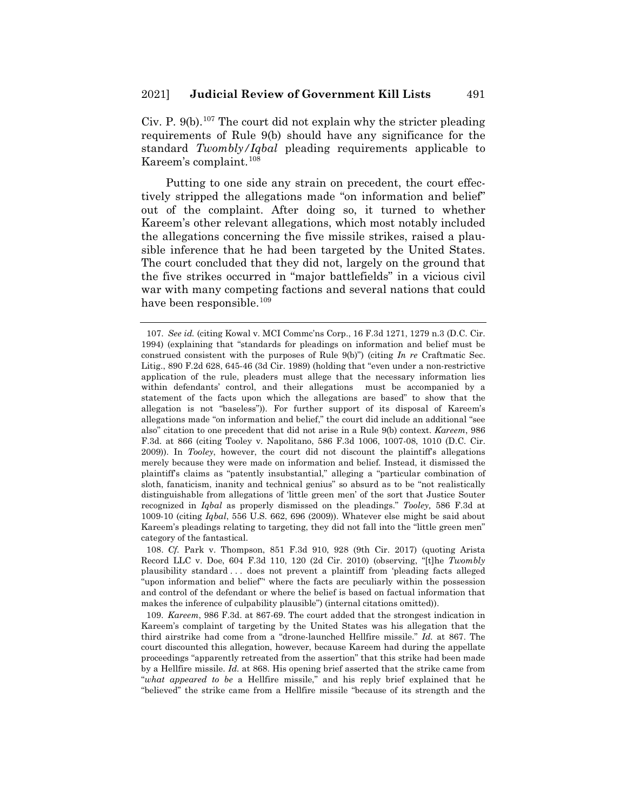Civ. P.  $9(b)$ .<sup>107</sup> The court did not explain why the stricter pleading requirements of Rule 9(b) should have any significance for the standard *Twombly/Iqbal* pleading requirements applicable to Kareem's complaint.108

Putting to one side any strain on precedent, the court effectively stripped the allegations made "on information and belief" out of the complaint. After doing so, it turned to whether Kareem's other relevant allegations, which most notably included the allegations concerning the five missile strikes, raised a plausible inference that he had been targeted by the United States. The court concluded that they did not, largely on the ground that the five strikes occurred in "major battlefields" in a vicious civil war with many competing factions and several nations that could have been responsible.<sup>109</sup>

<sup>107.</sup> *See id.* (citing Kowal v. MCI Commc'ns Corp., 16 F.3d 1271, 1279 n.3 (D.C. Cir. 1994) (explaining that "standards for pleadings on information and belief must be construed consistent with the purposes of Rule 9(b)") (citing *In re* Craftmatic Sec. Litig., 890 F.2d 628, 645-46 (3d Cir. 1989) (holding that "even under a non-restrictive application of the rule, pleaders must allege that the necessary information lies within defendants' control, and their allegations must be accompanied by a statement of the facts upon which the allegations are based" to show that the allegation is not "baseless")). For further support of its disposal of Kareem's allegations made "on information and belief," the court did include an additional "see also" citation to one precedent that did not arise in a Rule 9(b) context. *Kareem*, 986 F.3d. at 866 (citing Tooley v. Napolitano, 586 F.3d 1006, 1007-08, 1010 (D.C. Cir. 2009)). In *Tooley*, however, the court did not discount the plaintiff's allegations merely because they were made on information and belief. Instead, it dismissed the plaintiff's claims as "patently insubstantial," alleging a "particular combination of sloth, fanaticism, inanity and technical genius" so absurd as to be "not realistically distinguishable from allegations of 'little green men' of the sort that Justice Souter recognized in *Iqbal* as properly dismissed on the pleadings." *Tooley,* 586 F.3d at 1009-10 (citing *Iqbal*, 556 U.S. 662, 696 (2009)). Whatever else might be said about Kareem's pleadings relating to targeting, they did not fall into the "little green men" category of the fantastical.

<sup>108.</sup> *Cf.* Park v. Thompson, 851 F.3d 910, 928 (9th Cir. 2017) (quoting Arista Record LLC v. Doe, 604 F.3d 110, 120 (2d Cir. 2010) (observing, "[t]he *Twombly* plausibility standard . . . does not prevent a plaintiff from 'pleading facts alleged "upon information and belief" where the facts are peculiarly within the possession and control of the defendant or where the belief is based on factual information that makes the inference of culpability plausible") (internal citations omitted)).

<sup>109.</sup> *Kareem*, 986 F.3d. at 867-69. The court added that the strongest indication in Kareem's complaint of targeting by the United States was his allegation that the third airstrike had come from a "drone-launched Hellfire missile." *Id.* at 867. The court discounted this allegation, however, because Kareem had during the appellate proceedings "apparently retreated from the assertion" that this strike had been made by a Hellfire missile. *Id.* at 868. His opening brief asserted that the strike came from "*what appeared to be* a Hellfire missile," and his reply brief explained that he "believed" the strike came from a Hellfire missile "because of its strength and the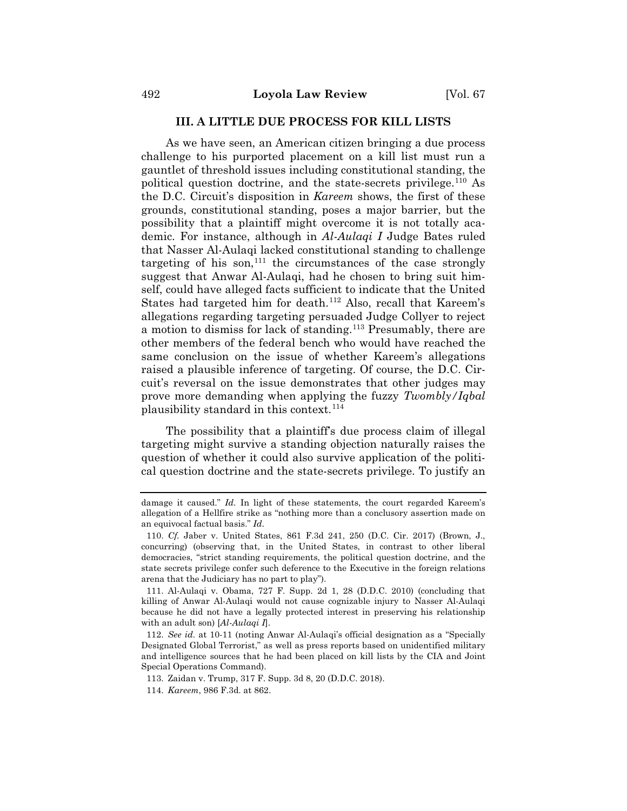#### **III. A LITTLE DUE PROCESS FOR KILL LISTS**

As we have seen, an American citizen bringing a due process challenge to his purported placement on a kill list must run a gauntlet of threshold issues including constitutional standing, the political question doctrine, and the state-secrets privilege.<sup>110</sup> As the D.C. Circuit's disposition in *Kareem* shows, the first of these grounds, constitutional standing, poses a major barrier, but the possibility that a plaintiff might overcome it is not totally academic. For instance, although in *Al-Aulaqi I* Judge Bates ruled that Nasser Al-Aulaqi lacked constitutional standing to challenge targeting of his son,  $111$  the circumstances of the case strongly suggest that Anwar Al-Aulaqi, had he chosen to bring suit himself, could have alleged facts sufficient to indicate that the United States had targeted him for death.<sup>112</sup> Also, recall that Kareem's allegations regarding targeting persuaded Judge Collyer to reject a motion to dismiss for lack of standing.113 Presumably, there are other members of the federal bench who would have reached the same conclusion on the issue of whether Kareem's allegations raised a plausible inference of targeting. Of course, the D.C. Circuit's reversal on the issue demonstrates that other judges may prove more demanding when applying the fuzzy *Twombly/Iqbal* plausibility standard in this context.114

The possibility that a plaintiff's due process claim of illegal targeting might survive a standing objection naturally raises the question of whether it could also survive application of the political question doctrine and the state-secrets privilege. To justify an

damage it caused." *Id.* In light of these statements, the court regarded Kareem's allegation of a Hellfire strike as "nothing more than a conclusory assertion made on an equivocal factual basis." *Id*.

<sup>110.</sup> *Cf.* Jaber v. United States, 861 F.3d 241, 250 (D.C. Cir. 2017) (Brown, J., concurring) (observing that, in the United States, in contrast to other liberal democracies, "strict standing requirements, the political question doctrine, and the state secrets privilege confer such deference to the Executive in the foreign relations arena that the Judiciary has no part to play").

<sup>111.</sup> Al-Aulaqi v. Obama, 727 F. Supp. 2d 1, 28 (D.D.C. 2010) (concluding that killing of Anwar Al-Aulaqi would not cause cognizable injury to Nasser Al-Aulaqi because he did not have a legally protected interest in preserving his relationship with an adult son) [*Al-Aulaqi I*].

<sup>112.</sup> *See id.* at 10-11 (noting Anwar Al-Aulaqi's official designation as a "Specially Designated Global Terrorist," as well as press reports based on unidentified military and intelligence sources that he had been placed on kill lists by the CIA and Joint Special Operations Command).

<sup>113.</sup> Zaidan v. Trump, 317 F. Supp. 3d 8, 20 (D.D.C. 2018).

<sup>114.</sup> *Kareem*, 986 F.3d. at 862.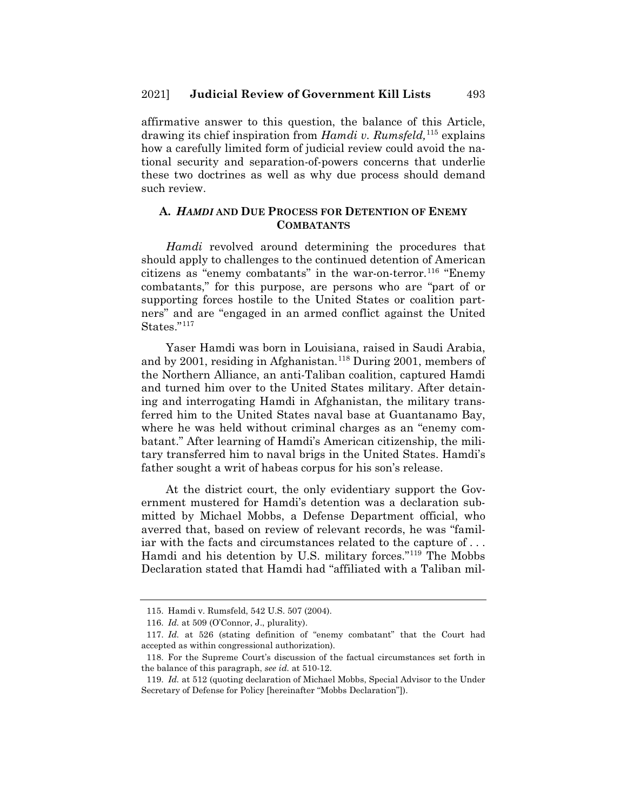affirmative answer to this question, the balance of this Article, drawing its chief inspiration from *Hamdi v. Rumsfeld,*<sup>115</sup> explains how a carefully limited form of judicial review could avoid the national security and separation-of-powers concerns that underlie these two doctrines as well as why due process should demand such review.

#### **A.** *HAMDI* **AND DUE PROCESS FOR DETENTION OF ENEMY COMBATANTS**

*Hamdi* revolved around determining the procedures that should apply to challenges to the continued detention of American citizens as "enemy combatants" in the war-on-terror.<sup>116</sup> "Enemy" combatants," for this purpose, are persons who are "part of or supporting forces hostile to the United States or coalition partners" and are "engaged in an armed conflict against the United States."117

Yaser Hamdi was born in Louisiana, raised in Saudi Arabia, and by 2001, residing in Afghanistan.<sup>118</sup> During 2001, members of the Northern Alliance, an anti-Taliban coalition, captured Hamdi and turned him over to the United States military. After detaining and interrogating Hamdi in Afghanistan, the military transferred him to the United States naval base at Guantanamo Bay, where he was held without criminal charges as an "enemy combatant." After learning of Hamdi's American citizenship, the military transferred him to naval brigs in the United States. Hamdi's father sought a writ of habeas corpus for his son's release.

At the district court, the only evidentiary support the Government mustered for Hamdi's detention was a declaration submitted by Michael Mobbs, a Defense Department official, who averred that, based on review of relevant records, he was "familiar with the facts and circumstances related to the capture of . . . Hamdi and his detention by U.S. military forces."119 The Mobbs Declaration stated that Hamdi had "affiliated with a Taliban mil-

<sup>115.</sup> Hamdi v. Rumsfeld, 542 U.S. 507 (2004).

<sup>116.</sup> *Id.* at 509 (O'Connor, J., plurality).

<sup>117.</sup> *Id.* at 526 (stating definition of "enemy combatant" that the Court had accepted as within congressional authorization).

<sup>118.</sup> For the Supreme Court's discussion of the factual circumstances set forth in the balance of this paragraph, *see id.* at 510-12.

<sup>119.</sup> *Id.* at 512 (quoting declaration of Michael Mobbs, Special Advisor to the Under Secretary of Defense for Policy [hereinafter "Mobbs Declaration"]).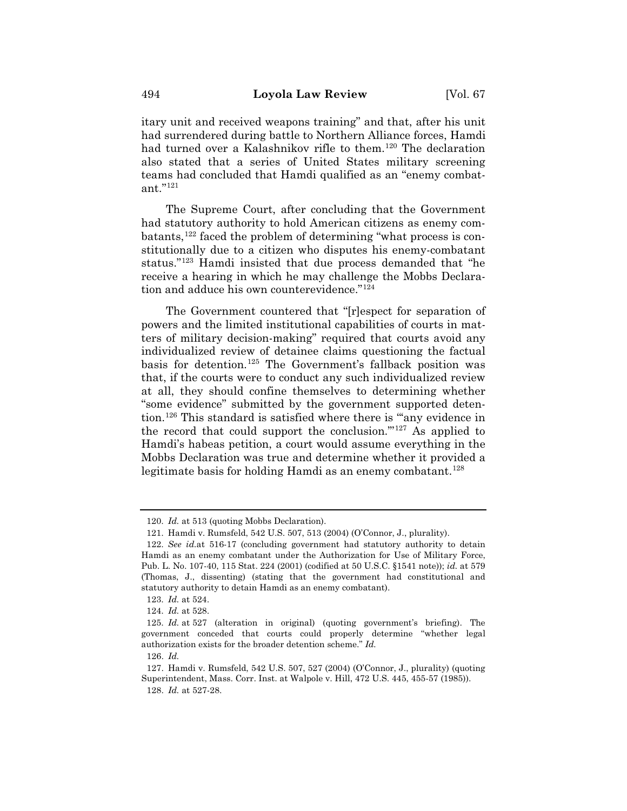itary unit and received weapons training" and that, after his unit had surrendered during battle to Northern Alliance forces, Hamdi had turned over a Kalashnikov rifle to them.<sup>120</sup> The declaration also stated that a series of United States military screening teams had concluded that Hamdi qualified as an "enemy combatant."121

The Supreme Court, after concluding that the Government had statutory authority to hold American citizens as enemy combatants, $122$  faced the problem of determining "what process is constitutionally due to a citizen who disputes his enemy-combatant status."123 Hamdi insisted that due process demanded that "he receive a hearing in which he may challenge the Mobbs Declaration and adduce his own counterevidence."124

The Government countered that "[r]espect for separation of powers and the limited institutional capabilities of courts in matters of military decision-making" required that courts avoid any individualized review of detainee claims questioning the factual basis for detention.125 The Government's fallback position was that, if the courts were to conduct any such individualized review at all, they should confine themselves to determining whether "some evidence" submitted by the government supported detention.126 This standard is satisfied where there is "'any evidence in the record that could support the conclusion.'"127 As applied to Hamdi's habeas petition, a court would assume everything in the Mobbs Declaration was true and determine whether it provided a legitimate basis for holding Hamdi as an enemy combatant.<sup>128</sup>

<sup>120.</sup> *Id.* at 513 (quoting Mobbs Declaration).

<sup>121.</sup> Hamdi v. Rumsfeld, 542 U.S. 507, 513 (2004) (O'Connor, J., plurality).

<sup>122.</sup> *See id.*at 516-17 (concluding government had statutory authority to detain Hamdi as an enemy combatant under the Authorization for Use of Military Force, Pub. L. No. 107-40, 115 Stat. 224 (2001) (codified at 50 U.S.C. §1541 note)); *id.* at 579 (Thomas, J., dissenting) (stating that the government had constitutional and statutory authority to detain Hamdi as an enemy combatant).

<sup>123.</sup> *Id.* at 524.

<sup>124.</sup> *Id.* at 528.

<sup>125.</sup> *Id.* at 527 (alteration in original) (quoting government's briefing). The government conceded that courts could properly determine "whether legal authorization exists for the broader detention scheme." *Id.*

<sup>126.</sup> *Id.*

<sup>127.</sup> Hamdi v. Rumsfeld, 542 U.S. 507, 527 (2004) (O'Connor, J., plurality) (quoting Superintendent, Mass. Corr. Inst. at Walpole v. Hill, 472 U.S. 445, 455-57 (1985)). 128. *Id.* at 527-28.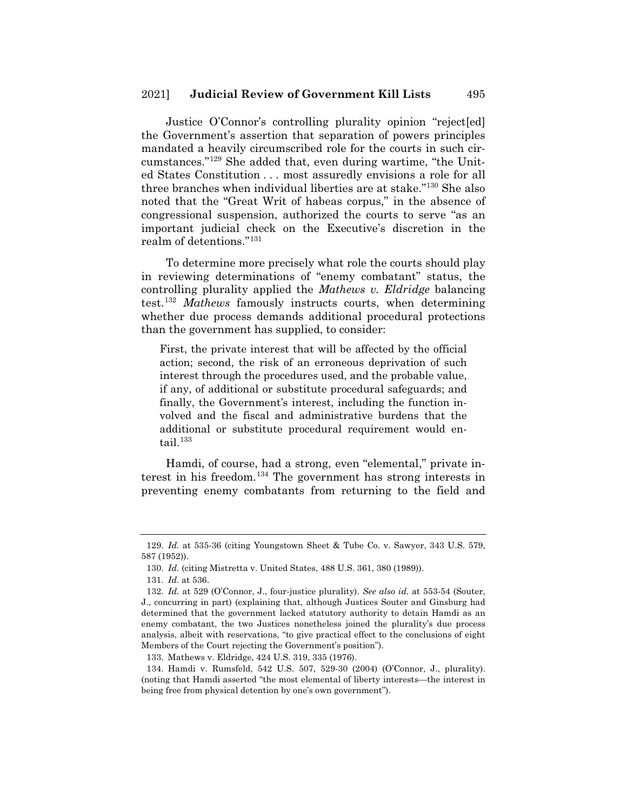Justice O'Connor's controlling plurality opinion "reject[ed] the Government's assertion that separation of powers principles mandated a heavily circumscribed role for the courts in such circumstances."129 She added that, even during wartime, "the United States Constitution . . . most assuredly envisions a role for all three branches when individual liberties are at stake."130 She also noted that the "Great Writ of habeas corpus," in the absence of congressional suspension, authorized the courts to serve "as an important judicial check on the Executive's discretion in the realm of detentions."131

To determine more precisely what role the courts should play in reviewing determinations of "enemy combatant" status, the controlling plurality applied the *Mathews v. Eldridge* balancing test.132 *Mathews* famously instructs courts, when determining whether due process demands additional procedural protections than the government has supplied, to consider:

First, the private interest that will be affected by the official action; second, the risk of an erroneous deprivation of such interest through the procedures used, and the probable value, if any, of additional or substitute procedural safeguards; and finally, the Government's interest, including the function involved and the fiscal and administrative burdens that the additional or substitute procedural requirement would entail. $133$ 

Hamdi, of course, had a strong, even "elemental," private interest in his freedom.134 The government has strong interests in preventing enemy combatants from returning to the field and

<sup>129.</sup> *Id.* at 535-36 (citing Youngstown Sheet & Tube Co. v. Sawyer, 343 U.S. 579, 587 (1952)).

<sup>130.</sup> *Id.* (citing Mistretta v. United States, 488 U.S. 361, 380 (1989)).

<sup>131.</sup> *Id.* at 536.

<sup>132.</sup> *Id.* at 529 (O'Connor, J., four-justice plurality). *See also id.* at 553-54 (Souter, J., concurring in part) (explaining that, although Justices Souter and Ginsburg had determined that the government lacked statutory authority to detain Hamdi as an enemy combatant, the two Justices nonetheless joined the plurality's due process analysis, albeit with reservations, "to give practical effect to the conclusions of eight Members of the Court rejecting the Government's position").

<sup>133.</sup> Mathews v. Eldridge, 424 U.S. 319, 335 (1976).

<sup>134.</sup> Hamdi v. Rumsfeld, 542 U.S. 507, 529-30 (2004) (O'Connor, J., plurality). (noting that Hamdi asserted "the most elemental of liberty interests—the interest in being free from physical detention by one's own government").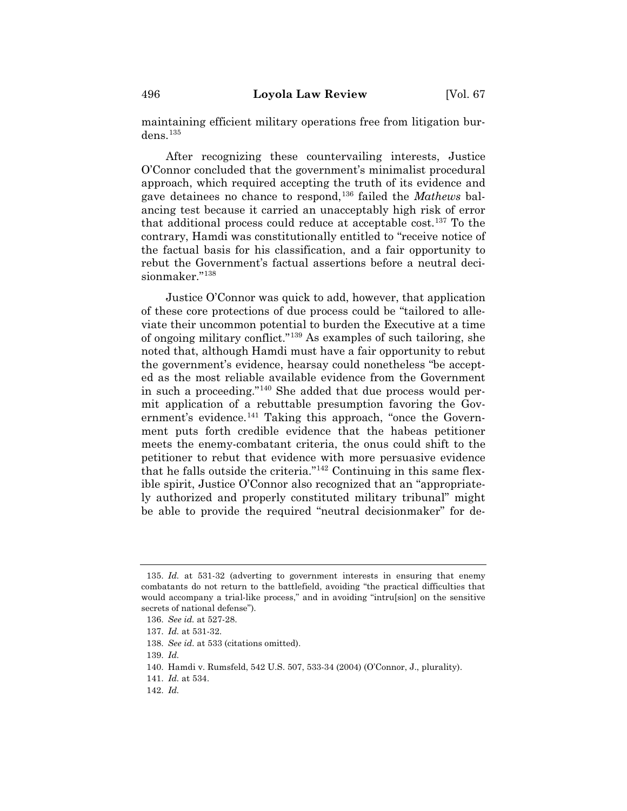maintaining efficient military operations free from litigation burdens.135

After recognizing these countervailing interests, Justice O'Connor concluded that the government's minimalist procedural approach, which required accepting the truth of its evidence and gave detainees no chance to respond,136 failed the *Mathews* balancing test because it carried an unacceptably high risk of error that additional process could reduce at acceptable  $cost<sub>137</sub>$  To the contrary, Hamdi was constitutionally entitled to "receive notice of the factual basis for his classification, and a fair opportunity to rebut the Government's factual assertions before a neutral decisionmaker."138

Justice O'Connor was quick to add, however, that application of these core protections of due process could be "tailored to alleviate their uncommon potential to burden the Executive at a time of ongoing military conflict."139 As examples of such tailoring, she noted that, although Hamdi must have a fair opportunity to rebut the government's evidence, hearsay could nonetheless "be accepted as the most reliable available evidence from the Government in such a proceeding."140 She added that due process would permit application of a rebuttable presumption favoring the Government's evidence.<sup>141</sup> Taking this approach, "once the Government puts forth credible evidence that the habeas petitioner meets the enemy-combatant criteria, the onus could shift to the petitioner to rebut that evidence with more persuasive evidence that he falls outside the criteria."142 Continuing in this same flexible spirit, Justice O'Connor also recognized that an "appropriately authorized and properly constituted military tribunal" might be able to provide the required "neutral decisionmaker" for de-

142. *Id.*

<sup>135.</sup> *Id.* at 531-32 (adverting to government interests in ensuring that enemy combatants do not return to the battlefield, avoiding "the practical difficulties that would accompany a trial-like process," and in avoiding "intru[sion] on the sensitive secrets of national defense").

<sup>136.</sup> *See id.* at 527-28.

<sup>137.</sup> *Id.* at 531-32.

<sup>138.</sup> *See id.* at 533 (citations omitted).

<sup>139.</sup> *Id.*

<sup>140.</sup> Hamdi v. Rumsfeld, 542 U.S. 507, 533-34 (2004) (O'Connor, J., plurality).

<sup>141.</sup> *Id.* at 534.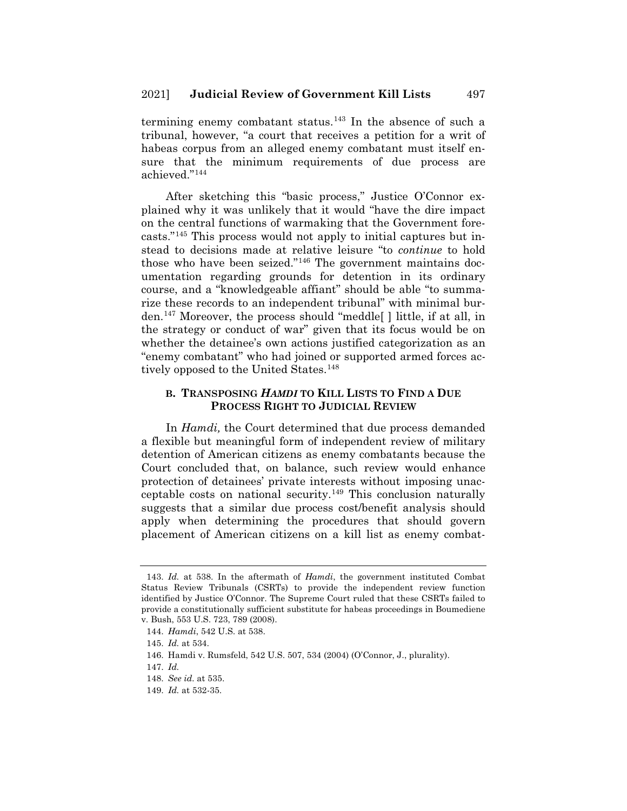termining enemy combatant status.<sup>143</sup> In the absence of such a tribunal, however, "a court that receives a petition for a writ of habeas corpus from an alleged enemy combatant must itself ensure that the minimum requirements of due process are achieved."144

After sketching this "basic process," Justice O'Connor explained why it was unlikely that it would "have the dire impact on the central functions of warmaking that the Government forecasts."145 This process would not apply to initial captures but instead to decisions made at relative leisure "to *continue* to hold those who have been seized."146 The government maintains documentation regarding grounds for detention in its ordinary course, and a "knowledgeable affiant" should be able "to summarize these records to an independent tribunal" with minimal burden.147 Moreover, the process should "meddle[ ] little, if at all, in the strategy or conduct of war" given that its focus would be on whether the detainee's own actions justified categorization as an "enemy combatant" who had joined or supported armed forces actively opposed to the United States.<sup>148</sup>

#### **B. TRANSPOSING** *HAMDI* **TO KILL LISTS TO FIND A DUE PROCESS RIGHT TO JUDICIAL REVIEW**

In *Hamdi,* the Court determined that due process demanded a flexible but meaningful form of independent review of military detention of American citizens as enemy combatants because the Court concluded that, on balance, such review would enhance protection of detainees' private interests without imposing unacceptable costs on national security.<sup>149</sup> This conclusion naturally suggests that a similar due process cost/benefit analysis should apply when determining the procedures that should govern placement of American citizens on a kill list as enemy combat-

<sup>143.</sup> *Id.* at 538. In the aftermath of *Hamdi*, the government instituted Combat Status Review Tribunals (CSRTs) to provide the independent review function identified by Justice O'Connor. The Supreme Court ruled that these CSRTs failed to provide a constitutionally sufficient substitute for habeas proceedings in Boumediene v. Bush, 553 U.S. 723, 789 (2008).

<sup>144.</sup> *Hamdi*, 542 U.S. at 538.

<sup>145.</sup> *Id.* at 534.

<sup>146.</sup> Hamdi v. Rumsfeld, 542 U.S. 507, 534 (2004) (O'Connor, J., plurality).

<sup>147.</sup> *Id.*

<sup>148.</sup> *See id.* at 535.

<sup>149.</sup> *Id.* at 532-35.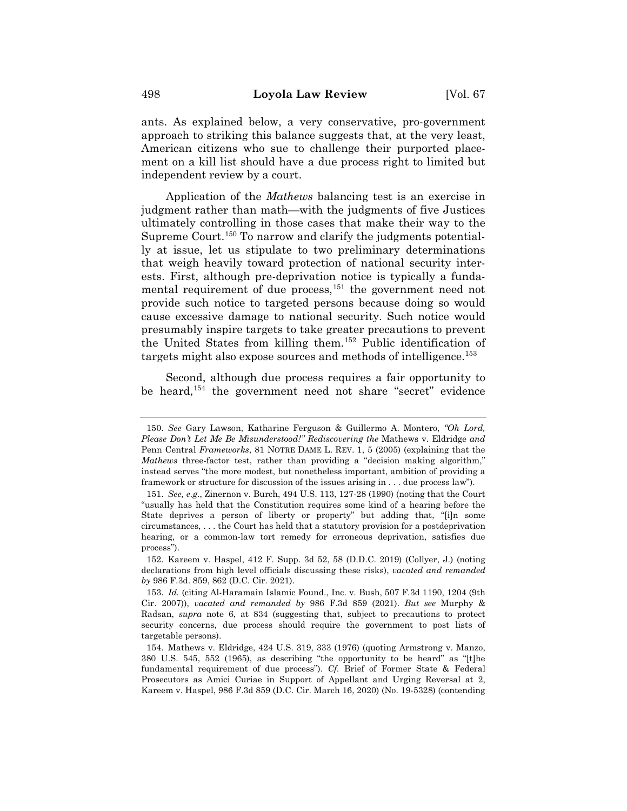ants. As explained below, a very conservative, pro-government approach to striking this balance suggests that, at the very least, American citizens who sue to challenge their purported placement on a kill list should have a due process right to limited but independent review by a court.

Application of the *Mathews* balancing test is an exercise in judgment rather than math—with the judgments of five Justices ultimately controlling in those cases that make their way to the Supreme Court.<sup>150</sup> To narrow and clarify the judgments potentially at issue, let us stipulate to two preliminary determinations that weigh heavily toward protection of national security interests. First, although pre-deprivation notice is typically a fundamental requirement of due process,<sup>151</sup> the government need not provide such notice to targeted persons because doing so would cause excessive damage to national security. Such notice would presumably inspire targets to take greater precautions to prevent the United States from killing them.152 Public identification of targets might also expose sources and methods of intelligence.<sup>153</sup>

Second, although due process requires a fair opportunity to be heard,154 the government need not share "secret" evidence

<sup>150.</sup> *See* Gary Lawson, Katharine Ferguson & Guillermo A. Montero, *"Oh Lord, Please Don't Let Me Be Misunderstood!" Rediscovering the* Mathews v. Eldridge *and*  Penn Central *Frameworks*, 81 NOTRE DAME L. REV. 1, 5 (2005) (explaining that the *Mathews* three-factor test, rather than providing a "decision making algorithm," instead serves "the more modest, but nonetheless important, ambition of providing a framework or structure for discussion of the issues arising in . . . due process law").

<sup>151.</sup> *See, e.g.*, Zinernon v. Burch, 494 U.S. 113, 127-28 (1990) (noting that the Court "usually has held that the Constitution requires some kind of a hearing before the State deprives a person of liberty or property" but adding that, "[i]n some circumstances, . . . the Court has held that a statutory provision for a postdeprivation hearing, or a common-law tort remedy for erroneous deprivation, satisfies due process").

<sup>152.</sup> Kareem v. Haspel, 412 F. Supp. 3d 52, 58 (D.D.C. 2019) (Collyer, J.) (noting declarations from high level officials discussing these risks), *vacated and remanded by* 986 F.3d. 859, 862 (D.C. Cir. 2021).

<sup>153.</sup> *Id.* (citing Al-Haramain Islamic Found., Inc. v. Bush, 507 F.3d 1190, 1204 (9th Cir. 2007)), *vacated and remanded by* 986 F.3d 859 (2021). *But see* Murphy & Radsan, *supra* note 6, at 834 (suggesting that, subject to precautions to protect security concerns, due process should require the government to post lists of targetable persons).

<sup>154.</sup> Mathews v. Eldridge, 424 U.S. 319, 333 (1976) (quoting Armstrong v. Manzo, 380 U.S. 545, 552 (1965), as describing "the opportunity to be heard" as "[t]he fundamental requirement of due process"). *Cf.* Brief of Former State & Federal Prosecutors as Amici Curiae in Support of Appellant and Urging Reversal at 2, Kareem v. Haspel, 986 F.3d 859 (D.C. Cir. March 16, 2020) (No. 19-5328) (contending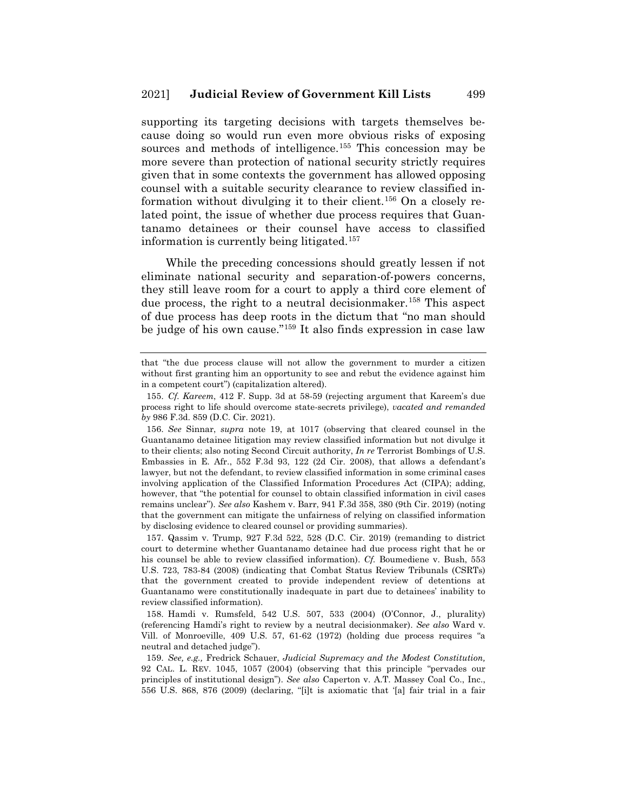supporting its targeting decisions with targets themselves because doing so would run even more obvious risks of exposing sources and methods of intelligence.<sup>155</sup> This concession may be more severe than protection of national security strictly requires given that in some contexts the government has allowed opposing counsel with a suitable security clearance to review classified information without divulging it to their client.156 On a closely related point, the issue of whether due process requires that Guantanamo detainees or their counsel have access to classified information is currently being litigated.<sup>157</sup>

While the preceding concessions should greatly lessen if not eliminate national security and separation-of-powers concerns, they still leave room for a court to apply a third core element of due process, the right to a neutral decisionmaker.<sup>158</sup> This aspect of due process has deep roots in the dictum that "no man should be judge of his own cause."159 It also finds expression in case law

that "the due process clause will not allow the government to murder a citizen without first granting him an opportunity to see and rebut the evidence against him in a competent court") (capitalization altered).

<sup>155.</sup> *Cf. Kareem*, 412 F. Supp. 3d at 58-59 (rejecting argument that Kareem's due process right to life should overcome state-secrets privilege), *vacated and remanded by* 986 F.3d. 859 (D.C. Cir. 2021).

<sup>156.</sup> *See* Sinnar, *supra* note 19, at 1017 (observing that cleared counsel in the Guantanamo detainee litigation may review classified information but not divulge it to their clients; also noting Second Circuit authority, *In re* Terrorist Bombings of U.S. Embassies in E. Afr., 552 F.3d 93, 122 (2d Cir. 2008), that allows a defendant's lawyer, but not the defendant, to review classified information in some criminal cases involving application of the Classified Information Procedures Act (CIPA); adding, however, that "the potential for counsel to obtain classified information in civil cases remains unclear"). *See also* Kashem v. Barr, 941 F.3d 358, 380 (9th Cir. 2019) (noting that the government can mitigate the unfairness of relying on classified information by disclosing evidence to cleared counsel or providing summaries).

<sup>157.</sup> Qassim v. Trump, 927 F.3d 522, 528 (D.C. Cir. 2019) (remanding to district court to determine whether Guantanamo detainee had due process right that he or his counsel be able to review classified information). *Cf.* Boumediene v. Bush, 553 U.S. 723, 783-84 (2008) (indicating that Combat Status Review Tribunals (CSRTs) that the government created to provide independent review of detentions at Guantanamo were constitutionally inadequate in part due to detainees' inability to review classified information).

<sup>158.</sup> Hamdi v. Rumsfeld, 542 U.S. 507, 533 (2004) (O'Connor, J., plurality) (referencing Hamdi's right to review by a neutral decisionmaker). *See also* Ward v. Vill. of Monroeville, 409 U.S. 57, 61-62 (1972) (holding due process requires "a neutral and detached judge").

<sup>159.</sup> *See, e.g.,* Fredrick Schauer, *Judicial Supremacy and the Modest Constitution,*  92 CAL. L. REV. 1045, 1057 (2004) (observing that this principle "pervades our principles of institutional design"). *See also* Caperton v. A.T. Massey Coal Co., Inc., 556 U.S. 868, 876 (2009) (declaring, "[i]t is axiomatic that '[a] fair trial in a fair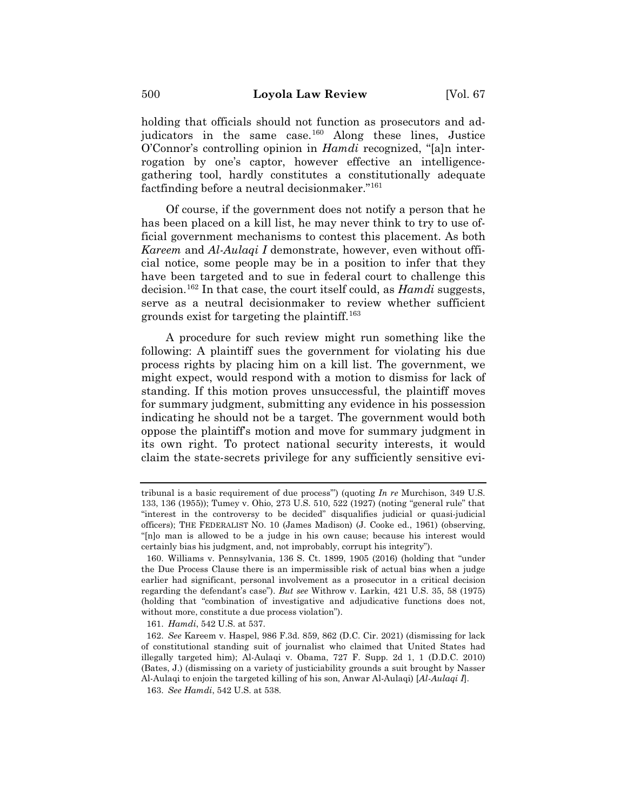holding that officials should not function as prosecutors and adjudicators in the same case.<sup>160</sup> Along these lines, Justice O'Connor's controlling opinion in *Hamdi* recognized, "[a]n interrogation by one's captor, however effective an intelligencegathering tool, hardly constitutes a constitutionally adequate factfinding before a neutral decisionmaker."161

Of course, if the government does not notify a person that he has been placed on a kill list, he may never think to try to use official government mechanisms to contest this placement. As both *Kareem* and *Al-Aulaqi I* demonstrate, however, even without official notice, some people may be in a position to infer that they have been targeted and to sue in federal court to challenge this decision.162 In that case, the court itself could, as *Hamdi* suggests, serve as a neutral decisionmaker to review whether sufficient grounds exist for targeting the plaintiff.163

A procedure for such review might run something like the following: A plaintiff sues the government for violating his due process rights by placing him on a kill list. The government, we might expect, would respond with a motion to dismiss for lack of standing. If this motion proves unsuccessful, the plaintiff moves for summary judgment, submitting any evidence in his possession indicating he should not be a target. The government would both oppose the plaintiff's motion and move for summary judgment in its own right. To protect national security interests, it would claim the state-secrets privilege for any sufficiently sensitive evi-

tribunal is a basic requirement of due process'") (quoting *In re* Murchison, 349 U.S. 133, 136 (1955)); Tumey v. Ohio, 273 U.S. 510, 522 (1927) (noting "general rule" that "interest in the controversy to be decided" disqualifies judicial or quasi-judicial officers); THE FEDERALIST NO. 10 (James Madison) (J. Cooke ed., 1961) (observing, "[n]o man is allowed to be a judge in his own cause; because his interest would certainly bias his judgment, and, not improbably, corrupt his integrity").

<sup>160.</sup> Williams v. Pennsylvania, 136 S. Ct. 1899, 1905 (2016) (holding that "under the Due Process Clause there is an impermissible risk of actual bias when a judge earlier had significant, personal involvement as a prosecutor in a critical decision regarding the defendant's case"). *But see* Withrow v. Larkin, 421 U.S. 35, 58 (1975) (holding that "combination of investigative and adjudicative functions does not, without more, constitute a due process violation").

<sup>161.</sup> *Hamdi*, 542 U.S. at 537.

<sup>162.</sup> *See* Kareem v. Haspel, 986 F.3d. 859, 862 (D.C. Cir. 2021) (dismissing for lack of constitutional standing suit of journalist who claimed that United States had illegally targeted him); Al-Aulaqi v. Obama, 727 F. Supp. 2d 1, 1 (D.D.C. 2010) (Bates, J.) (dismissing on a variety of justiciability grounds a suit brought by Nasser Al-Aulaqi to enjoin the targeted killing of his son, Anwar Al-Aulaqi) [*Al-Aulaqi I*].

<sup>163.</sup> *See Hamdi*, 542 U.S. at 538.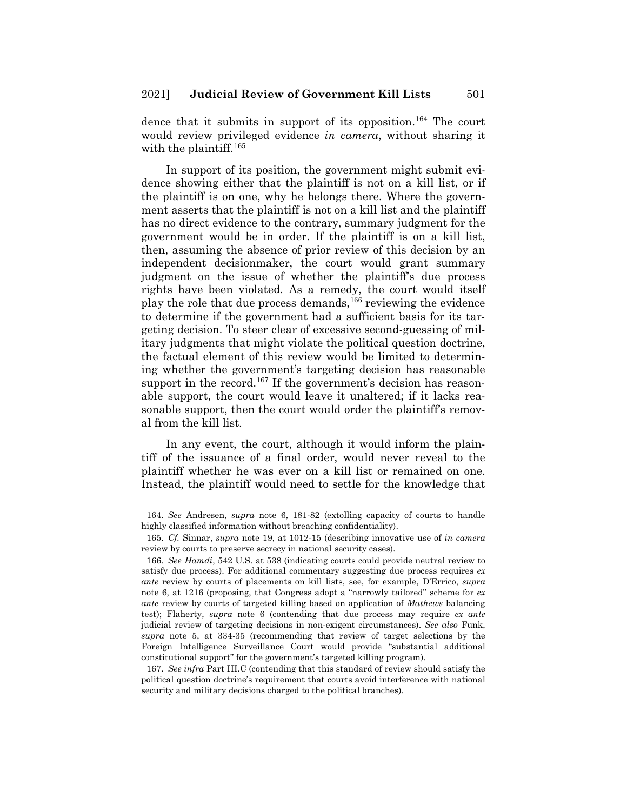dence that it submits in support of its opposition.<sup>164</sup> The court would review privileged evidence *in camera*, without sharing it with the plaintiff.<sup>165</sup>

In support of its position, the government might submit evidence showing either that the plaintiff is not on a kill list, or if the plaintiff is on one, why he belongs there. Where the government asserts that the plaintiff is not on a kill list and the plaintiff has no direct evidence to the contrary, summary judgment for the government would be in order. If the plaintiff is on a kill list, then, assuming the absence of prior review of this decision by an independent decisionmaker, the court would grant summary judgment on the issue of whether the plaintiff's due process rights have been violated. As a remedy, the court would itself play the role that due process demands,<sup>166</sup> reviewing the evidence to determine if the government had a sufficient basis for its targeting decision. To steer clear of excessive second-guessing of military judgments that might violate the political question doctrine, the factual element of this review would be limited to determining whether the government's targeting decision has reasonable support in the record.<sup>167</sup> If the government's decision has reasonable support, the court would leave it unaltered; if it lacks reasonable support, then the court would order the plaintiff's removal from the kill list.

In any event, the court, although it would inform the plaintiff of the issuance of a final order, would never reveal to the plaintiff whether he was ever on a kill list or remained on one. Instead, the plaintiff would need to settle for the knowledge that

<sup>164.</sup> *See* Andresen, *supra* note 6, 181-82 (extolling capacity of courts to handle highly classified information without breaching confidentiality).

<sup>165.</sup> *Cf.* Sinnar, *supra* note 19, at 1012-15 (describing innovative use of *in camera*  review by courts to preserve secrecy in national security cases).

<sup>166.</sup> *See Hamdi*, 542 U.S. at 538 (indicating courts could provide neutral review to satisfy due process). For additional commentary suggesting due process requires *ex ante* review by courts of placements on kill lists, see, for example, D'Errico, *supra*  note 6, at 1216 (proposing, that Congress adopt a "narrowly tailored" scheme for *ex ante* review by courts of targeted killing based on application of *Mathews* balancing test); Flaherty, *supra* note 6 (contending that due process may require *ex ante* judicial review of targeting decisions in non-exigent circumstances). *See also* Funk, *supra* note 5, at 334-35 (recommending that review of target selections by the Foreign Intelligence Surveillance Court would provide "substantial additional constitutional support" for the government's targeted killing program).

<sup>167.</sup> *See infra* Part III.C (contending that this standard of review should satisfy the political question doctrine's requirement that courts avoid interference with national security and military decisions charged to the political branches).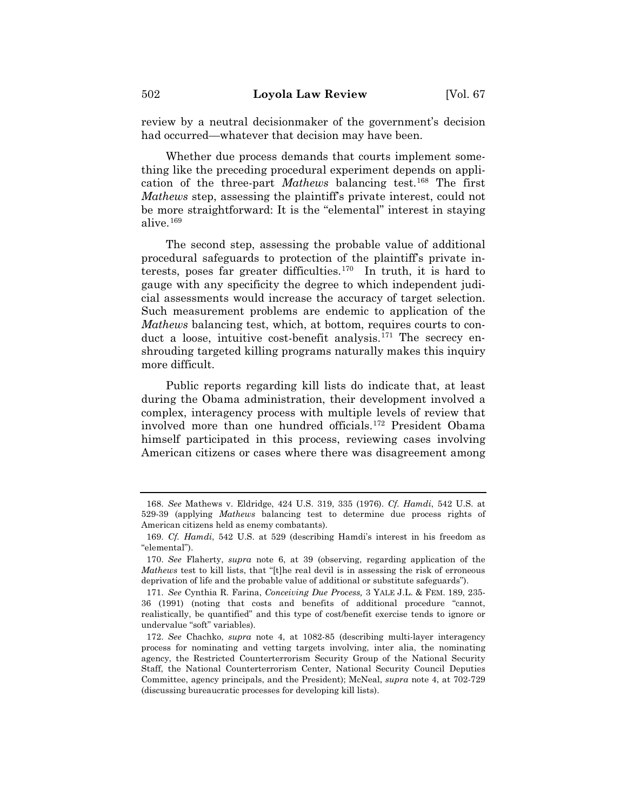review by a neutral decisionmaker of the government's decision had occurred—whatever that decision may have been.

Whether due process demands that courts implement something like the preceding procedural experiment depends on application of the three-part *Mathews* balancing test.<sup>168</sup> The first *Mathews* step, assessing the plaintiff's private interest, could not be more straightforward: It is the "elemental" interest in staying alive.169

The second step, assessing the probable value of additional procedural safeguards to protection of the plaintiff's private interests, poses far greater difficulties. $170$  In truth, it is hard to gauge with any specificity the degree to which independent judicial assessments would increase the accuracy of target selection. Such measurement problems are endemic to application of the *Mathews* balancing test, which, at bottom, requires courts to conduct a loose, intuitive cost-benefit analysis.<sup>171</sup> The secrecy enshrouding targeted killing programs naturally makes this inquiry more difficult.

Public reports regarding kill lists do indicate that, at least during the Obama administration, their development involved a complex, interagency process with multiple levels of review that involved more than one hundred officials.172 President Obama himself participated in this process, reviewing cases involving American citizens or cases where there was disagreement among

<sup>168.</sup> *See* Mathews v. Eldridge, 424 U.S. 319, 335 (1976). *Cf. Hamdi*, 542 U.S. at 529-39 (applying *Mathews* balancing test to determine due process rights of American citizens held as enemy combatants).

<sup>169.</sup> *Cf. Hamdi*, 542 U.S. at 529 (describing Hamdi's interest in his freedom as "elemental").

<sup>170.</sup> *See* Flaherty, *supra* note 6, at 39 (observing, regarding application of the *Mathews* test to kill lists, that "[t]he real devil is in assessing the risk of erroneous deprivation of life and the probable value of additional or substitute safeguards").

<sup>171.</sup> *See* Cynthia R. Farina, *Conceiving Due Process,* 3 YALE J.L. & FEM. 189, 235- 36 (1991) (noting that costs and benefits of additional procedure "cannot, realistically, be quantified" and this type of cost/benefit exercise tends to ignore or undervalue "soft" variables).

<sup>172.</sup> *See* Chachko, *supra* note 4, at 1082-85 (describing multi-layer interagency process for nominating and vetting targets involving, inter alia, the nominating agency, the Restricted Counterterrorism Security Group of the National Security Staff, the National Counterterrorism Center, National Security Council Deputies Committee, agency principals, and the President); McNeal, *supra* note 4, at 702-729 (discussing bureaucratic processes for developing kill lists).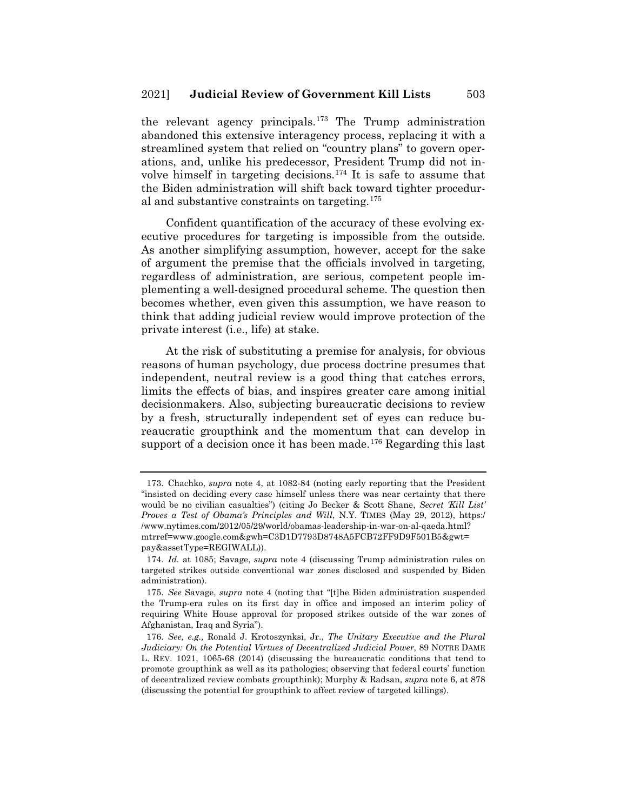the relevant agency principals.<sup>173</sup> The Trump administration abandoned this extensive interagency process, replacing it with a streamlined system that relied on "country plans" to govern operations, and, unlike his predecessor, President Trump did not involve himself in targeting decisions.174 It is safe to assume that the Biden administration will shift back toward tighter procedural and substantive constraints on targeting.175

Confident quantification of the accuracy of these evolving executive procedures for targeting is impossible from the outside. As another simplifying assumption, however, accept for the sake of argument the premise that the officials involved in targeting, regardless of administration, are serious, competent people implementing a well-designed procedural scheme. The question then becomes whether, even given this assumption, we have reason to think that adding judicial review would improve protection of the private interest (i.e., life) at stake.

At the risk of substituting a premise for analysis, for obvious reasons of human psychology, due process doctrine presumes that independent, neutral review is a good thing that catches errors, limits the effects of bias, and inspires greater care among initial decisionmakers. Also, subjecting bureaucratic decisions to review by a fresh, structurally independent set of eyes can reduce bureaucratic groupthink and the momentum that can develop in support of a decision once it has been made.<sup>176</sup> Regarding this last

<sup>173.</sup> Chachko, *supra* note 4, at 1082-84 (noting early reporting that the President "insisted on deciding every case himself unless there was near certainty that there would be no civilian casualties") (citing Jo Becker & Scott Shane, *Secret 'Kill List' Proves a Test of Obama's Principles and Will*, N.Y. TIMES (May 29, 2012), https:/ /www.nytimes.com/2012/05/29/world/obamas-leadership-in-war-on-al-qaeda.html? mtrref=www.google.com&gwh=C3D1D7793D8748A5FCB72FF9D9F501B5&gwt= pay&assetType=REGIWALL)).

<sup>174.</sup> *Id.* at 1085; Savage, *supra* note 4 (discussing Trump administration rules on targeted strikes outside conventional war zones disclosed and suspended by Biden administration).

<sup>175.</sup> *See* Savage, *supra* note 4 (noting that "[t]he Biden administration suspended the Trump-era rules on its first day in office and imposed an interim policy of requiring White House approval for proposed strikes outside of the war zones of Afghanistan, Iraq and Syria").

<sup>176.</sup> *See, e.g.,* Ronald J. Krotoszynksi, Jr., *The Unitary Executive and the Plural Judiciary: On the Potential Virtues of Decentralized Judicial Power*, 89 NOTRE DAME L. REV. 1021, 1065-68 (2014) (discussing the bureaucratic conditions that tend to promote groupthink as well as its pathologies; observing that federal courts' function of decentralized review combats groupthink); Murphy & Radsan, *supra* note 6, at 878 (discussing the potential for groupthink to affect review of targeted killings).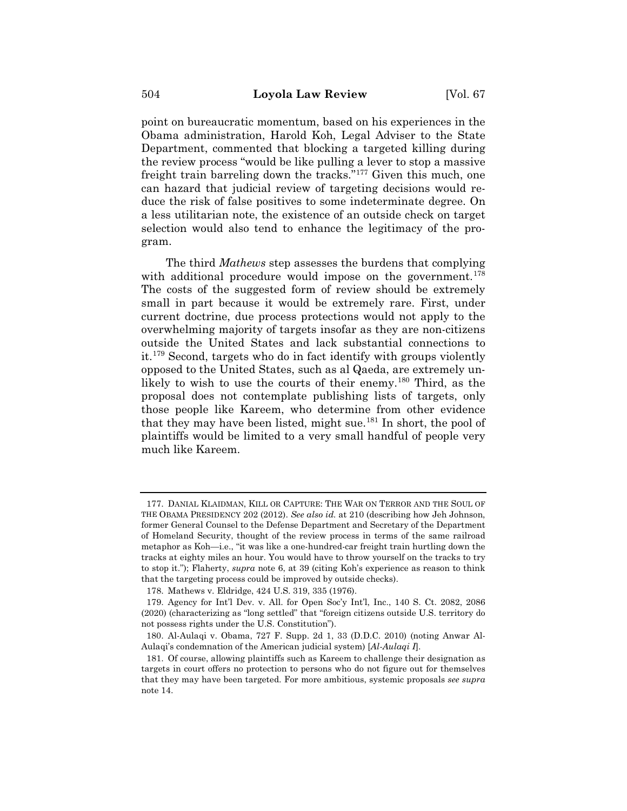point on bureaucratic momentum, based on his experiences in the Obama administration, Harold Koh, Legal Adviser to the State Department, commented that blocking a targeted killing during the review process "would be like pulling a lever to stop a massive freight train barreling down the tracks."177 Given this much, one can hazard that judicial review of targeting decisions would reduce the risk of false positives to some indeterminate degree. On a less utilitarian note, the existence of an outside check on target selection would also tend to enhance the legitimacy of the program.

The third *Mathews* step assesses the burdens that complying with additional procedure would impose on the government.<sup>178</sup> The costs of the suggested form of review should be extremely small in part because it would be extremely rare. First, under current doctrine, due process protections would not apply to the overwhelming majority of targets insofar as they are non-citizens outside the United States and lack substantial connections to it.179 Second, targets who do in fact identify with groups violently opposed to the United States, such as al Qaeda, are extremely unlikely to wish to use the courts of their enemy.<sup>180</sup> Third, as the proposal does not contemplate publishing lists of targets, only those people like Kareem, who determine from other evidence that they may have been listed, might sue.181 In short, the pool of plaintiffs would be limited to a very small handful of people very much like Kareem.

<sup>177.</sup> DANIAL KLAIDMAN, KILL OR CAPTURE: THE WAR ON TERROR AND THE SOUL OF THE OBAMA PRESIDENCY 202 (2012). *See also id.* at 210 (describing how Jeh Johnson, former General Counsel to the Defense Department and Secretary of the Department of Homeland Security, thought of the review process in terms of the same railroad metaphor as Koh—i.e., "it was like a one-hundred-car freight train hurtling down the tracks at eighty miles an hour. You would have to throw yourself on the tracks to try to stop it."); Flaherty, *supra* note 6, at 39 (citing Koh's experience as reason to think that the targeting process could be improved by outside checks).

<sup>178.</sup> Mathews v. Eldridge, 424 U.S. 319, 335 (1976).

<sup>179.</sup> Agency for Int'l Dev. v. All. for Open Soc'y Int'l, Inc., 140 S. Ct. 2082, 2086 (2020) (characterizing as "long settled" that "foreign citizens outside U.S. territory do not possess rights under the U.S. Constitution").

<sup>180.</sup> Al-Aulaqi v. Obama, 727 F. Supp. 2d 1, 33 (D.D.C. 2010) (noting Anwar Al-Aulaqi's condemnation of the American judicial system) [*Al-Aulaqi I*].

<sup>181.</sup> Of course, allowing plaintiffs such as Kareem to challenge their designation as targets in court offers no protection to persons who do not figure out for themselves that they may have been targeted. For more ambitious, systemic proposals *see supra*  note 14.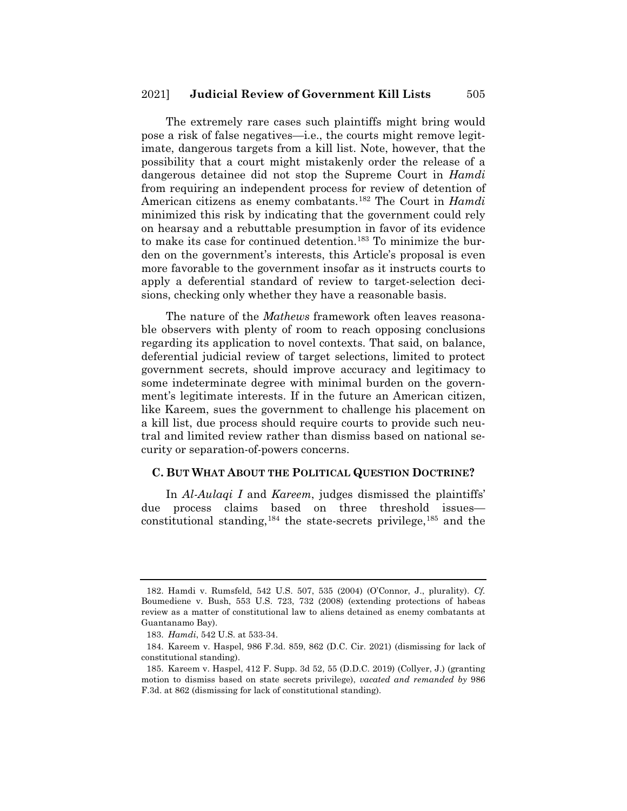The extremely rare cases such plaintiffs might bring would pose a risk of false negatives—i.e., the courts might remove legitimate, dangerous targets from a kill list. Note, however, that the possibility that a court might mistakenly order the release of a dangerous detainee did not stop the Supreme Court in *Hamdi*  from requiring an independent process for review of detention of American citizens as enemy combatants.182 The Court in *Hamdi*  minimized this risk by indicating that the government could rely on hearsay and a rebuttable presumption in favor of its evidence to make its case for continued detention.<sup>183</sup> To minimize the burden on the government's interests, this Article's proposal is even more favorable to the government insofar as it instructs courts to apply a deferential standard of review to target-selection decisions, checking only whether they have a reasonable basis.

The nature of the *Mathews* framework often leaves reasonable observers with plenty of room to reach opposing conclusions regarding its application to novel contexts. That said, on balance, deferential judicial review of target selections, limited to protect government secrets, should improve accuracy and legitimacy to some indeterminate degree with minimal burden on the government's legitimate interests. If in the future an American citizen, like Kareem, sues the government to challenge his placement on a kill list, due process should require courts to provide such neutral and limited review rather than dismiss based on national security or separation-of-powers concerns.

#### **C. BUT WHAT ABOUT THE POLITICAL QUESTION DOCTRINE?**

In *Al-Aulaqi I* and *Kareem*, judges dismissed the plaintiffs' due process claims based on three threshold issues constitutional standing,  $184$  the state-secrets privilege,  $185$  and the

<sup>182.</sup> Hamdi v. Rumsfeld, 542 U.S. 507, 535 (2004) (O'Connor, J., plurality). *Cf.*  Boumediene v. Bush, 553 U.S. 723, 732 (2008) (extending protections of habeas review as a matter of constitutional law to aliens detained as enemy combatants at Guantanamo Bay).

<sup>183.</sup> *Hamdi*, 542 U.S. at 533-34.

<sup>184.</sup> Kareem v. Haspel, 986 F.3d. 859, 862 (D.C. Cir. 2021) (dismissing for lack of constitutional standing).

<sup>185.</sup> Kareem v. Haspel, 412 F. Supp. 3d 52, 55 (D.D.C. 2019) (Collyer, J.) (granting motion to dismiss based on state secrets privilege), *vacated and remanded by* 986 F.3d. at 862 (dismissing for lack of constitutional standing).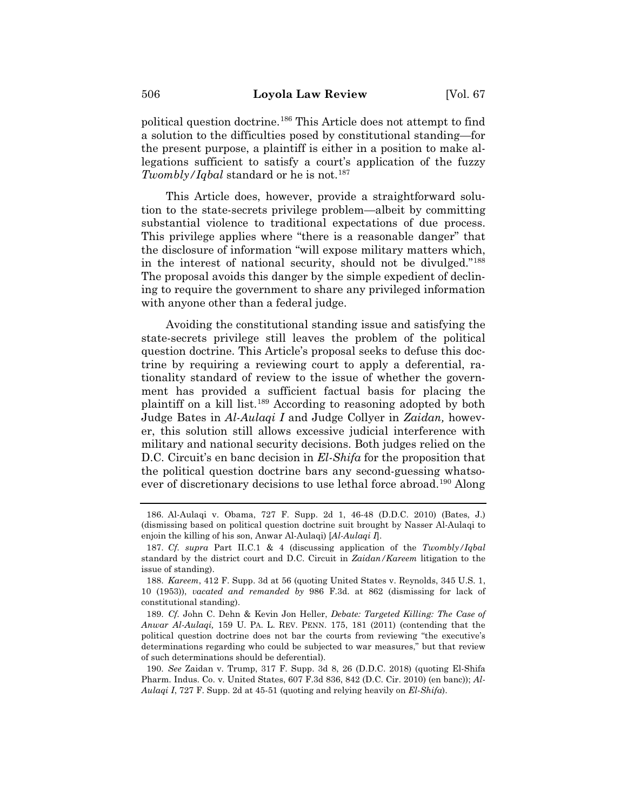political question doctrine.186 This Article does not attempt to find a solution to the difficulties posed by constitutional standing—for the present purpose, a plaintiff is either in a position to make allegations sufficient to satisfy a court's application of the fuzzy *Twombly/Iqbal* standard or he is not.<sup>187</sup>

This Article does, however, provide a straightforward solution to the state-secrets privilege problem—albeit by committing substantial violence to traditional expectations of due process. This privilege applies where "there is a reasonable danger" that the disclosure of information "will expose military matters which, in the interest of national security, should not be divulged."188 The proposal avoids this danger by the simple expedient of declining to require the government to share any privileged information with anyone other than a federal judge.

Avoiding the constitutional standing issue and satisfying the state-secrets privilege still leaves the problem of the political question doctrine. This Article's proposal seeks to defuse this doctrine by requiring a reviewing court to apply a deferential, rationality standard of review to the issue of whether the government has provided a sufficient factual basis for placing the plaintiff on a kill list.189 According to reasoning adopted by both Judge Bates in *Al-Aulaqi I* and Judge Collyer in *Zaidan,* however, this solution still allows excessive judicial interference with military and national security decisions. Both judges relied on the D.C. Circuit's en banc decision in *El-Shifa* for the proposition that the political question doctrine bars any second-guessing whatsoever of discretionary decisions to use lethal force abroad.<sup>190</sup> Along

<sup>186.</sup> Al-Aulaqi v. Obama, 727 F. Supp. 2d 1, 46-48 (D.D.C. 2010) (Bates, J.) (dismissing based on political question doctrine suit brought by Nasser Al-Aulaqi to enjoin the killing of his son, Anwar Al-Aulaqi) [*Al-Aulaqi I*].

<sup>187.</sup> *Cf. supra* Part II.C.1 & 4 (discussing application of the *Twombly/Iqbal*  standard by the district court and D.C. Circuit in *Zaidan/Kareem* litigation to the issue of standing).

<sup>188.</sup> *Kareem*, 412 F. Supp. 3d at 56 (quoting United States v. Reynolds, 345 U.S. 1, 10 (1953)), *vacated and remanded by* 986 F.3d. at 862 (dismissing for lack of constitutional standing).

<sup>189.</sup> *Cf.* John C. Dehn & Kevin Jon Heller, *Debate: Targeted Killing: The Case of Anwar Al-Aulaqi,* 159 U. PA. L. REV. PENN. 175, 181 (2011) (contending that the political question doctrine does not bar the courts from reviewing "the executive's determinations regarding who could be subjected to war measures," but that review of such determinations should be deferential).

<sup>190.</sup> *See* Zaidan v. Trump, 317 F. Supp. 3d 8, 26 (D.D.C. 2018) (quoting El-Shifa Pharm. Indus. Co. v. United States, 607 F.3d 836, 842 (D.C. Cir. 2010) (en banc)); *Al-Aulaqi I*, 727 F. Supp. 2d at 45-51 (quoting and relying heavily on *El-Shifa*).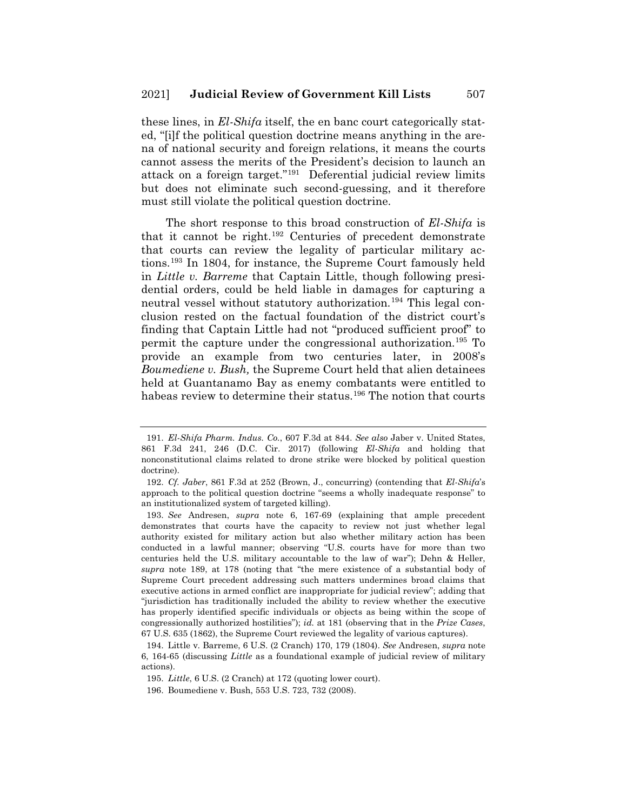these lines, in *El-Shifa* itself, the en banc court categorically stated, "[i]f the political question doctrine means anything in the arena of national security and foreign relations, it means the courts cannot assess the merits of the President's decision to launch an attack on a foreign target."191 Deferential judicial review limits but does not eliminate such second-guessing, and it therefore must still violate the political question doctrine.

The short response to this broad construction of *El-Shifa* is that it cannot be right.192 Centuries of precedent demonstrate that courts can review the legality of particular military actions.193 In 1804, for instance, the Supreme Court famously held in *Little v. Barreme* that Captain Little, though following presidential orders, could be held liable in damages for capturing a neutral vessel without statutory authorization.<sup>194</sup> This legal conclusion rested on the factual foundation of the district court's finding that Captain Little had not "produced sufficient proof" to permit the capture under the congressional authorization.195 To provide an example from two centuries later, in 2008's *Boumediene v. Bush,* the Supreme Court held that alien detainees held at Guantanamo Bay as enemy combatants were entitled to habeas review to determine their status.<sup>196</sup> The notion that courts

<sup>191.</sup> *El-Shifa Pharm. Indus. Co.*, 607 F.3d at 844. *See also* Jaber v. United States, 861 F.3d 241, 246 (D.C. Cir. 2017) (following *El-Shifa* and holding that nonconstitutional claims related to drone strike were blocked by political question doctrine).

<sup>192.</sup> *Cf. Jaber*, 861 F.3d at 252 (Brown, J., concurring) (contending that *El-Shifa*'s approach to the political question doctrine "seems a wholly inadequate response" to an institutionalized system of targeted killing).

<sup>193.</sup> *See* Andresen, *supra* note 6, 167-69 (explaining that ample precedent demonstrates that courts have the capacity to review not just whether legal authority existed for military action but also whether military action has been conducted in a lawful manner; observing "U.S. courts have for more than two centuries held the U.S. military accountable to the law of war"); Dehn & Heller, *supra* note 189, at 178 (noting that "the mere existence of a substantial body of Supreme Court precedent addressing such matters undermines broad claims that executive actions in armed conflict are inappropriate for judicial review"; adding that "jurisdiction has traditionally included the ability to review whether the executive has properly identified specific individuals or objects as being within the scope of congressionally authorized hostilities"); *id.* at 181 (observing that in the *Prize Cases*, 67 U.S. 635 (1862), the Supreme Court reviewed the legality of various captures).

<sup>194.</sup> Little v. Barreme, 6 U.S. (2 Cranch) 170, 179 (1804). *See* Andresen, *supra* note 6, 164-65 (discussing *Little* as a foundational example of judicial review of military actions).

<sup>195.</sup> *Little*, 6 U.S. (2 Cranch) at 172 (quoting lower court).

<sup>196.</sup> Boumediene v. Bush, 553 U.S. 723, 732 (2008).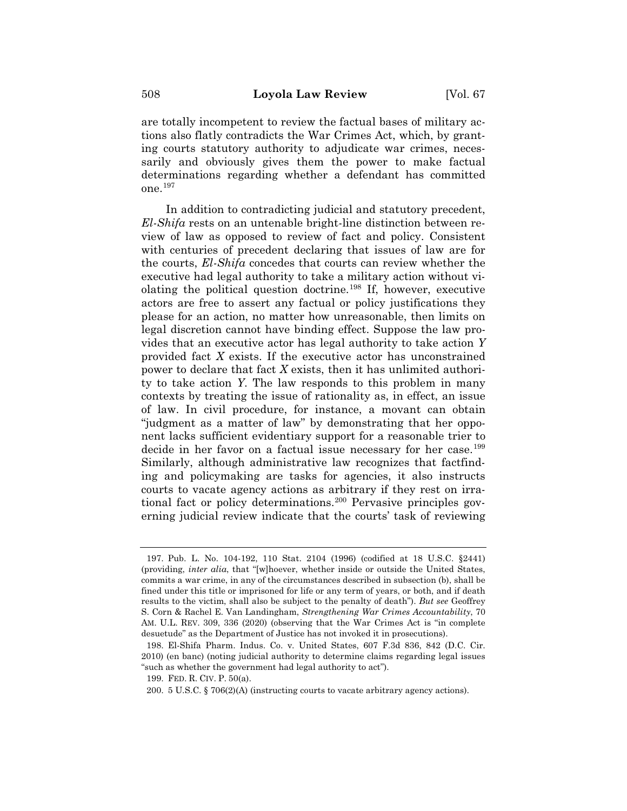are totally incompetent to review the factual bases of military actions also flatly contradicts the War Crimes Act, which, by granting courts statutory authority to adjudicate war crimes, necessarily and obviously gives them the power to make factual determinations regarding whether a defendant has committed one.197

In addition to contradicting judicial and statutory precedent, *El-Shifa* rests on an untenable bright-line distinction between review of law as opposed to review of fact and policy. Consistent with centuries of precedent declaring that issues of law are for the courts, *El-Shifa* concedes that courts can review whether the executive had legal authority to take a military action without violating the political question doctrine.198 If, however, executive actors are free to assert any factual or policy justifications they please for an action, no matter how unreasonable, then limits on legal discretion cannot have binding effect. Suppose the law provides that an executive actor has legal authority to take action *Y* provided fact *X* exists. If the executive actor has unconstrained power to declare that fact *X* exists, then it has unlimited authority to take action *Y*. The law responds to this problem in many contexts by treating the issue of rationality as, in effect, an issue of law. In civil procedure, for instance, a movant can obtain "judgment as a matter of law" by demonstrating that her opponent lacks sufficient evidentiary support for a reasonable trier to decide in her favor on a factual issue necessary for her case.<sup>199</sup> Similarly, although administrative law recognizes that factfinding and policymaking are tasks for agencies, it also instructs courts to vacate agency actions as arbitrary if they rest on irrational fact or policy determinations.<sup>200</sup> Pervasive principles governing judicial review indicate that the courts' task of reviewing

<sup>197.</sup> Pub. L. No. 104-192, 110 Stat. 2104 (1996) (codified at 18 U.S.C. §2441) (providing, *inter alia*, that "[w]hoever, whether inside or outside the United States, commits a war crime, in any of the circumstances described in subsection (b), shall be fined under this title or imprisoned for life or any term of years, or both, and if death results to the victim, shall also be subject to the penalty of death"). *But see* Geoffrey S. Corn & Rachel E. Van Landingham, *Strengthening War Crimes Accountability*, 70 AM. U.L. REV. 309, 336 (2020) (observing that the War Crimes Act is "in complete desuetude" as the Department of Justice has not invoked it in prosecutions).

<sup>198.</sup> El-Shifa Pharm. Indus. Co. v. United States, 607 F.3d 836, 842 (D.C. Cir. 2010) (en banc) (noting judicial authority to determine claims regarding legal issues "such as whether the government had legal authority to act").

<sup>199.</sup> FED. R. CIV. P. 50(a).

<sup>200. 5</sup> U.S.C. § 706(2)(A) (instructing courts to vacate arbitrary agency actions).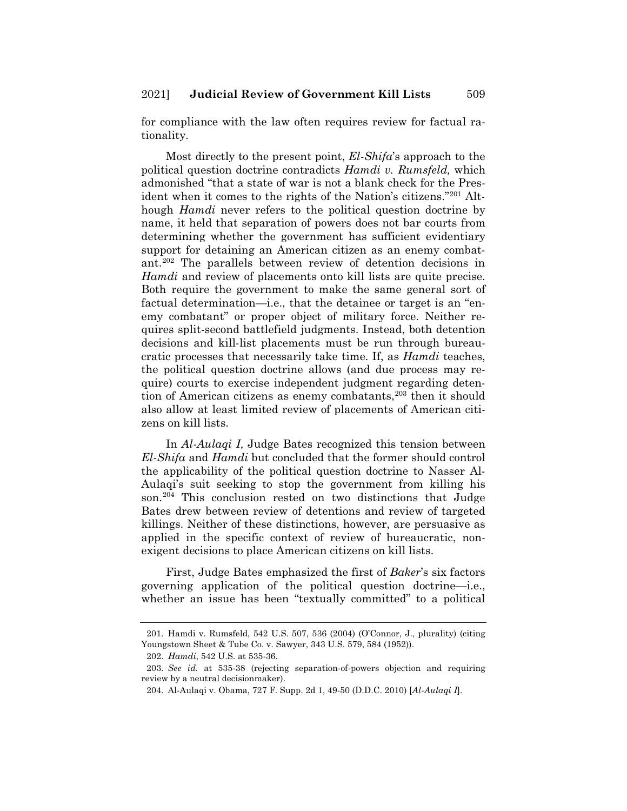for compliance with the law often requires review for factual rationality.

Most directly to the present point, *El-Shifa*'s approach to the political question doctrine contradicts *Hamdi v. Rumsfeld,* which admonished "that a state of war is not a blank check for the President when it comes to the rights of the Nation's citizens."201 Although *Hamdi* never refers to the political question doctrine by name, it held that separation of powers does not bar courts from determining whether the government has sufficient evidentiary support for detaining an American citizen as an enemy combatant.202 The parallels between review of detention decisions in *Hamdi* and review of placements onto kill lists are quite precise. Both require the government to make the same general sort of factual determination—i.e., that the detainee or target is an "enemy combatant" or proper object of military force. Neither requires split-second battlefield judgments. Instead, both detention decisions and kill-list placements must be run through bureaucratic processes that necessarily take time. If, as *Hamdi* teaches, the political question doctrine allows (and due process may require) courts to exercise independent judgment regarding detention of American citizens as enemy combatants,<sup>203</sup> then it should also allow at least limited review of placements of American citizens on kill lists.

In *Al-Aulaqi I,* Judge Bates recognized this tension between *El-Shifa* and *Hamdi* but concluded that the former should control the applicability of the political question doctrine to Nasser Al-Aulaqi's suit seeking to stop the government from killing his son.<sup>204</sup> This conclusion rested on two distinctions that Judge Bates drew between review of detentions and review of targeted killings. Neither of these distinctions, however, are persuasive as applied in the specific context of review of bureaucratic, nonexigent decisions to place American citizens on kill lists.

First, Judge Bates emphasized the first of *Baker*'s six factors governing application of the political question doctrine—i.e., whether an issue has been "textually committed" to a political

<sup>201.</sup> Hamdi v. Rumsfeld, 542 U.S. 507, 536 (2004) (O'Connor, J., plurality) (citing Youngstown Sheet & Tube Co. v. Sawyer, 343 U.S. 579, 584 (1952)).

<sup>202.</sup> *Hamdi*, 542 U.S. at 535-36.

<sup>203.</sup> *See id.* at 535-38 (rejecting separation-of-powers objection and requiring review by a neutral decisionmaker).

<sup>204.</sup> Al-Aulaqi v. Obama, 727 F. Supp. 2d 1, 49-50 (D.D.C. 2010) [*Al-Aulaqi I*].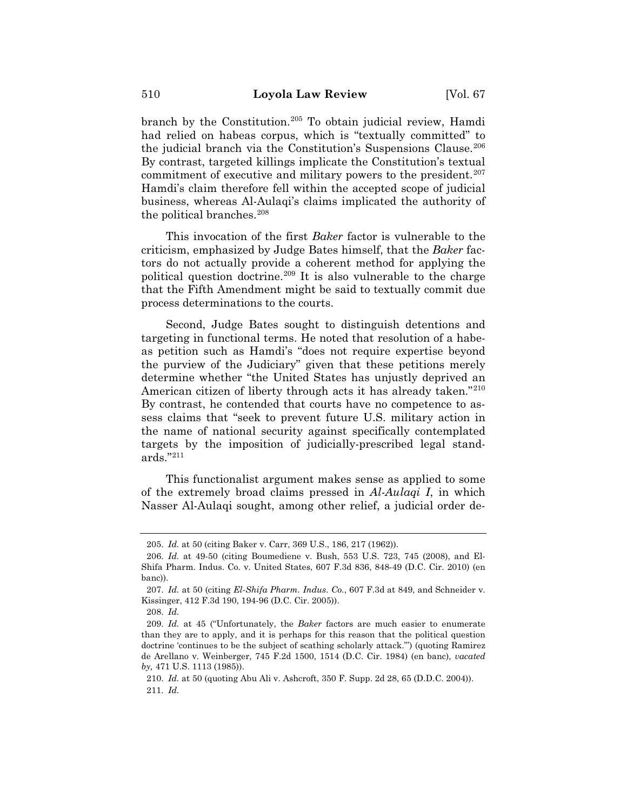branch by the Constitution.205 To obtain judicial review, Hamdi had relied on habeas corpus, which is "textually committed" to the judicial branch via the Constitution's Suspensions Clause.<sup>206</sup> By contrast, targeted killings implicate the Constitution's textual commitment of executive and military powers to the president. $207$ Hamdi's claim therefore fell within the accepted scope of judicial business, whereas Al-Aulaqi's claims implicated the authority of the political branches.<sup>208</sup>

This invocation of the first *Baker* factor is vulnerable to the criticism, emphasized by Judge Bates himself, that the *Baker* factors do not actually provide a coherent method for applying the political question doctrine.<sup>209</sup> It is also vulnerable to the charge that the Fifth Amendment might be said to textually commit due process determinations to the courts.

Second, Judge Bates sought to distinguish detentions and targeting in functional terms. He noted that resolution of a habeas petition such as Hamdi's "does not require expertise beyond the purview of the Judiciary" given that these petitions merely determine whether "the United States has unjustly deprived an American citizen of liberty through acts it has already taken."<sup>210</sup> By contrast, he contended that courts have no competence to assess claims that "seek to prevent future U.S. military action in the name of national security against specifically contemplated targets by the imposition of judicially-prescribed legal standards."211

This functionalist argument makes sense as applied to some of the extremely broad claims pressed in *Al-Aulaqi I*, in which Nasser Al-Aulaqi sought, among other relief, a judicial order de-

<sup>205.</sup> *Id.* at 50 (citing Baker v. Carr, 369 U.S., 186, 217 (1962)).

<sup>206.</sup> *Id.* at 49-50 (citing Boumediene v. Bush, 553 U.S. 723, 745 (2008), and El-Shifa Pharm. Indus. Co. v. United States, 607 F.3d 836, 848-49 (D.C. Cir. 2010) (en banc)).

<sup>207.</sup> *Id.* at 50 (citing *El-Shifa Pharm. Indus. Co.*, 607 F.3d at 849, and Schneider v. Kissinger, 412 F.3d 190, 194-96 (D.C. Cir. 2005)).

<sup>208.</sup> *Id.*

<sup>209.</sup> *Id.* at 45 ("Unfortunately, the *Baker* factors are much easier to enumerate than they are to apply, and it is perhaps for this reason that the political question doctrine 'continues to be the subject of scathing scholarly attack.'") (quoting Ramirez de Arellano v. Weinberger, 745 F.2d 1500, 1514 (D.C. Cir. 1984) (en banc), *vacated by,* 471 U.S. 1113 (1985)).

<sup>210.</sup> *Id.* at 50 (quoting Abu Ali v. Ashcroft, 350 F. Supp. 2d 28, 65 (D.D.C. 2004)). 211. *Id.*